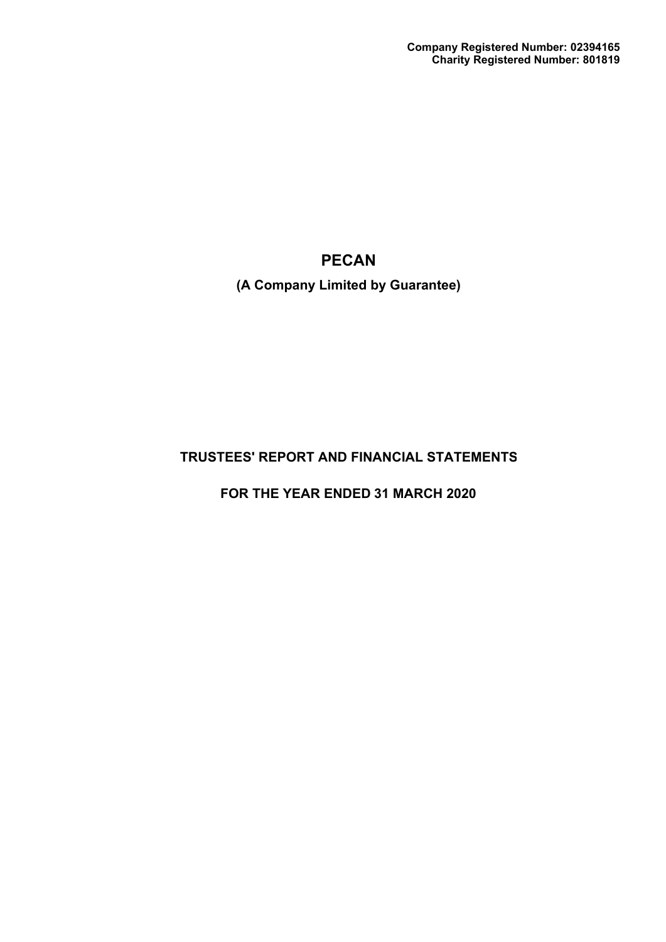**(A Company Limited by Guarantee)**

# **TRUSTEES' REPORT AND FINANCIAL STATEMENTS**

**FOR THE YEAR ENDED 31 MARCH 2020**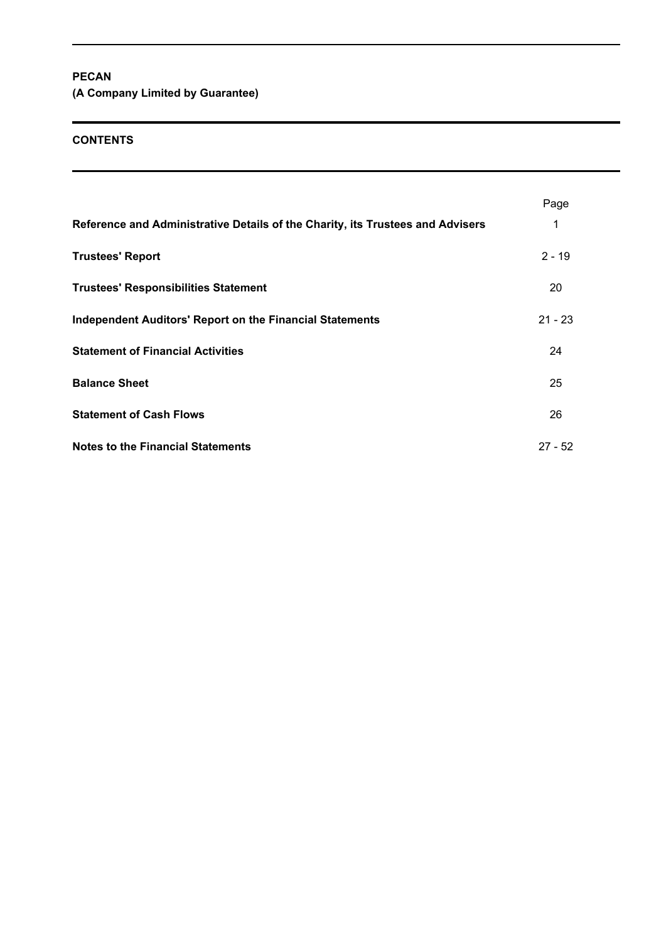**(A Company Limited by Guarantee)**

# **CONTENTS**

| Reference and Administrative Details of the Charity, its Trustees and Advisers | Page<br>1 |
|--------------------------------------------------------------------------------|-----------|
| <b>Trustees' Report</b>                                                        | $2 - 19$  |
| <b>Trustees' Responsibilities Statement</b>                                    | 20        |
| <b>Independent Auditors' Report on the Financial Statements</b>                | $21 - 23$ |
| <b>Statement of Financial Activities</b>                                       | 24        |
| <b>Balance Sheet</b>                                                           | 25        |
| <b>Statement of Cash Flows</b>                                                 | 26        |
| <b>Notes to the Financial Statements</b>                                       | $27 - 52$ |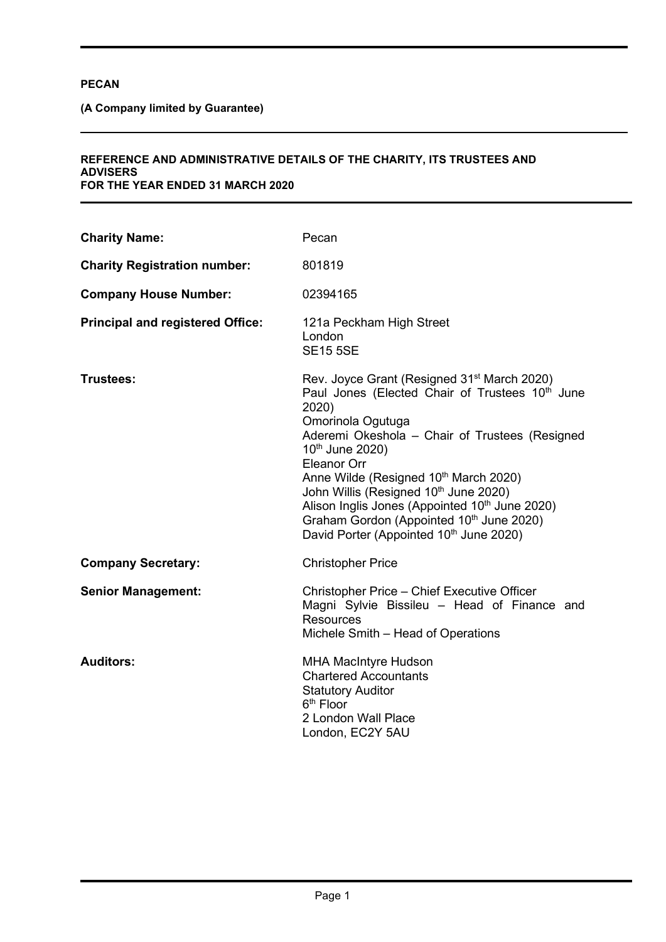**(A Company limited by Guarantee)** 

#### **REFERENCE AND ADMINISTRATIVE DETAILS OF THE CHARITY, ITS TRUSTEES AND ADVISERS FOR THE YEAR ENDED 31 MARCH 2020**

| <b>Charity Name:</b>                    | Pecan                                                                                                                                                                                                                                                                                                                                                                                                                                                                                                               |
|-----------------------------------------|---------------------------------------------------------------------------------------------------------------------------------------------------------------------------------------------------------------------------------------------------------------------------------------------------------------------------------------------------------------------------------------------------------------------------------------------------------------------------------------------------------------------|
| <b>Charity Registration number:</b>     | 801819                                                                                                                                                                                                                                                                                                                                                                                                                                                                                                              |
| <b>Company House Number:</b>            | 02394165                                                                                                                                                                                                                                                                                                                                                                                                                                                                                                            |
| <b>Principal and registered Office:</b> | 121a Peckham High Street<br>London<br><b>SE15 5SE</b>                                                                                                                                                                                                                                                                                                                                                                                                                                                               |
| Trustees:                               | Rev. Joyce Grant (Resigned 31 <sup>st</sup> March 2020)<br>Paul Jones (Elected Chair of Trustees 10 <sup>th</sup> June<br>2020)<br>Omorinola Ogutuga<br>Aderemi Okeshola - Chair of Trustees (Resigned<br>10th June 2020)<br>Eleanor Orr<br>Anne Wilde (Resigned 10th March 2020)<br>John Willis (Resigned 10 <sup>th</sup> June 2020)<br>Alison Inglis Jones (Appointed 10 <sup>th</sup> June 2020)<br>Graham Gordon (Appointed 10 <sup>th</sup> June 2020)<br>David Porter (Appointed 10 <sup>th</sup> June 2020) |
| <b>Company Secretary:</b>               | <b>Christopher Price</b>                                                                                                                                                                                                                                                                                                                                                                                                                                                                                            |
| <b>Senior Management:</b>               | Christopher Price - Chief Executive Officer<br>Magni Sylvie Bissileu - Head of Finance and<br><b>Resources</b><br>Michele Smith – Head of Operations                                                                                                                                                                                                                                                                                                                                                                |
| <b>Auditors:</b>                        | <b>MHA MacIntyre Hudson</b><br><b>Chartered Accountants</b><br><b>Statutory Auditor</b><br>$6th$ Floor<br>2 London Wall Place<br>London, EC2Y 5AU                                                                                                                                                                                                                                                                                                                                                                   |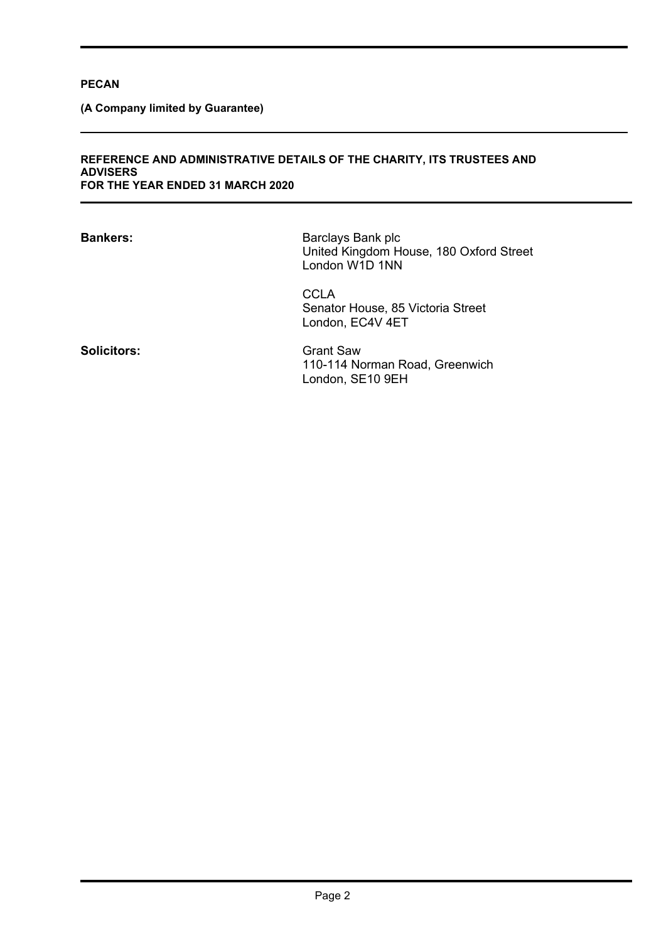**(A Company limited by Guarantee)** 

#### **REFERENCE AND ADMINISTRATIVE DETAILS OF THE CHARITY, ITS TRUSTEES AND ADVISERS FOR THE YEAR ENDED 31 MARCH 2020**

| <b>Bankers:</b>    | Barclays Bank plc<br>United Kingdom House, 180 Oxford Street<br>London W1D 1NN |
|--------------------|--------------------------------------------------------------------------------|
|                    | <b>CCLA</b><br>Senator House, 85 Victoria Street<br>London, EC4V 4ET           |
| <b>Solicitors:</b> | <b>Grant Saw</b><br>110-114 Norman Road, Greenwich<br>London, SE10 9EH         |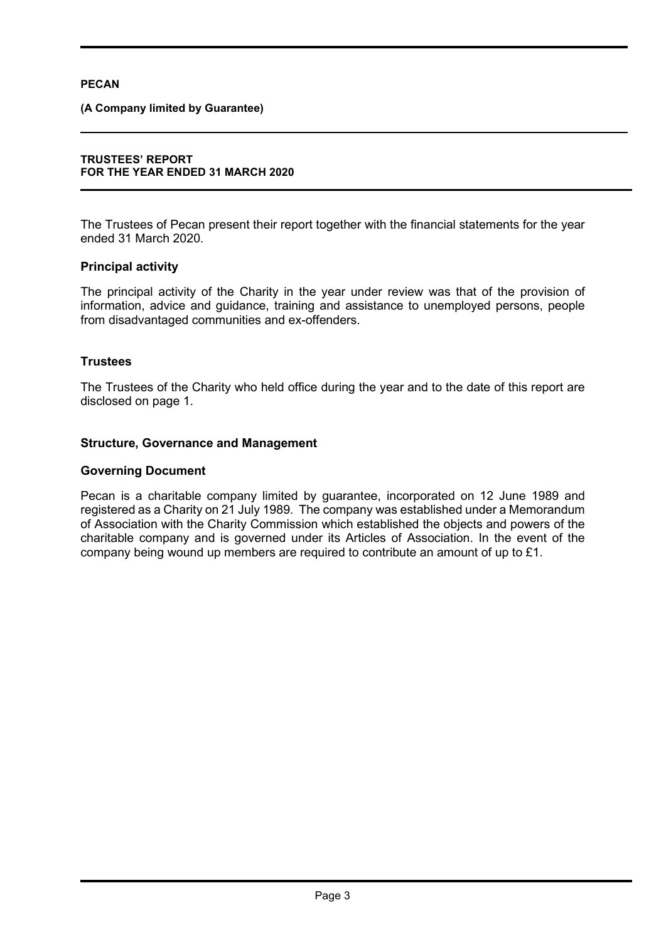## **(A Company limited by Guarantee)**

#### **TRUSTEES' REPORT FOR THE YEAR ENDED 31 MARCH 2020**

The Trustees of Pecan present their report together with the financial statements for the year ended 31 March 2020.

# **Principal activity**

The principal activity of the Charity in the year under review was that of the provision of information, advice and guidance, training and assistance to unemployed persons, people from disadvantaged communities and ex-offenders.

# **Trustees**

The Trustees of the Charity who held office during the year and to the date of this report are disclosed on page 1.

# **Structure, Governance and Management**

## **Governing Document**

Pecan is a charitable company limited by guarantee, incorporated on 12 June 1989 and registered as a Charity on 21 July 1989. The company was established under a Memorandum of Association with the Charity Commission which established the objects and powers of the charitable company and is governed under its Articles of Association. In the event of the company being wound up members are required to contribute an amount of up to £1.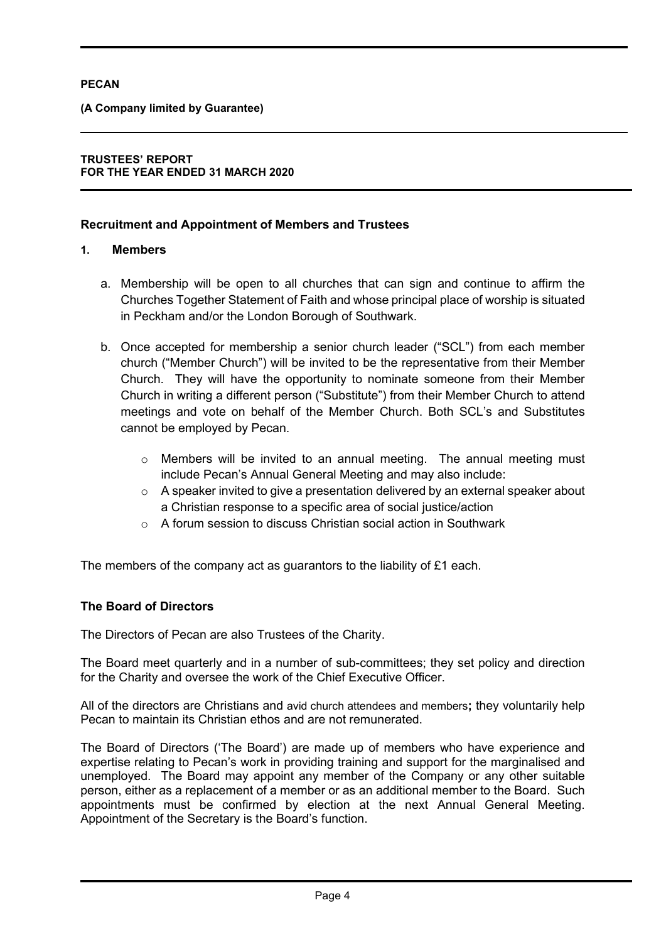# **(A Company limited by Guarantee)**

# **TRUSTEES' REPORT FOR THE YEAR ENDED 31 MARCH 2020**

# **Recruitment and Appointment of Members and Trustees**

# **1. Members**

- a. Membership will be open to all churches that can sign and continue to affirm the Churches Together Statement of Faith and whose principal place of worship is situated in Peckham and/or the London Borough of Southwark.
- b. Once accepted for membership a senior church leader ("SCL") from each member church ("Member Church") will be invited to be the representative from their Member Church. They will have the opportunity to nominate someone from their Member Church in writing a different person ("Substitute") from their Member Church to attend meetings and vote on behalf of the Member Church. Both SCL's and Substitutes cannot be employed by Pecan.
	- o Members will be invited to an annual meeting. The annual meeting must include Pecan's Annual General Meeting and may also include:
	- $\circ$  A speaker invited to give a presentation delivered by an external speaker about a Christian response to a specific area of social justice/action
	- $\circ$  A forum session to discuss Christian social action in Southwark

The members of the company act as guarantors to the liability of £1 each.

# **The Board of Directors**

The Directors of Pecan are also Trustees of the Charity.

The Board meet quarterly and in a number of sub-committees; they set policy and direction for the Charity and oversee the work of the Chief Executive Officer.

All of the directors are Christians and avid church attendees and members**;** they voluntarily help Pecan to maintain its Christian ethos and are not remunerated.

The Board of Directors ('The Board') are made up of members who have experience and expertise relating to Pecan's work in providing training and support for the marginalised and unemployed. The Board may appoint any member of the Company or any other suitable person, either as a replacement of a member or as an additional member to the Board. Such appointments must be confirmed by election at the next Annual General Meeting. Appointment of the Secretary is the Board's function.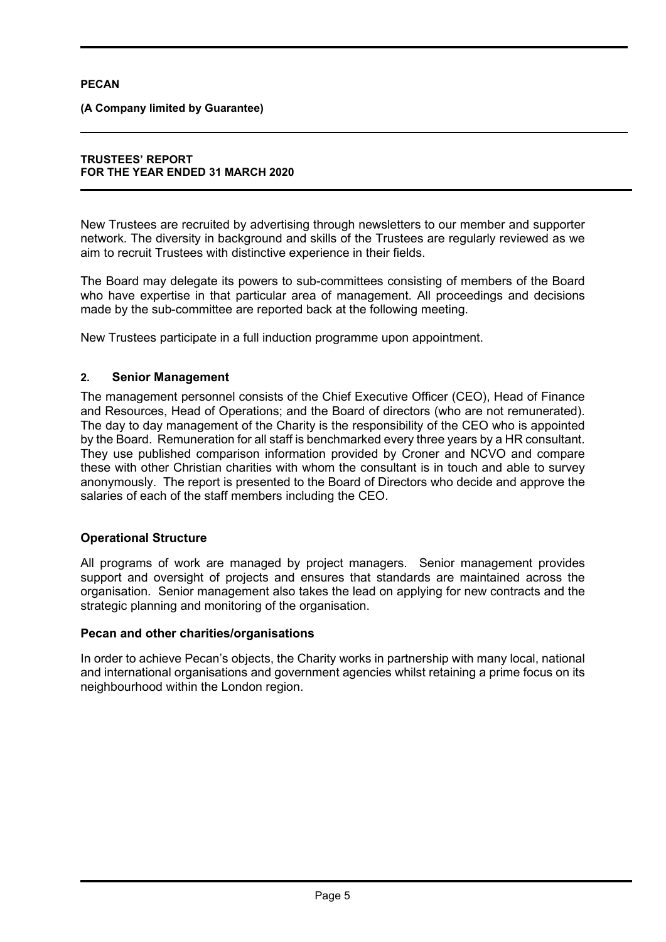**(A Company limited by Guarantee)** 

#### **TRUSTEES' REPORT FOR THE YEAR ENDED 31 MARCH 2020**

New Trustees are recruited by advertising through newsletters to our member and supporter network. The diversity in background and skills of the Trustees are regularly reviewed as we aim to recruit Trustees with distinctive experience in their fields.

The Board may delegate its powers to sub-committees consisting of members of the Board who have expertise in that particular area of management. All proceedings and decisions made by the sub-committee are reported back at the following meeting.

New Trustees participate in a full induction programme upon appointment.

# **2. Senior Management**

The management personnel consists of the Chief Executive Officer (CEO), Head of Finance and Resources, Head of Operations; and the Board of directors (who are not remunerated). The day to day management of the Charity is the responsibility of the CEO who is appointed by the Board. Remuneration for all staff is benchmarked every three years by a HR consultant. They use published comparison information provided by Croner and NCVO and compare these with other Christian charities with whom the consultant is in touch and able to survey anonymously. The report is presented to the Board of Directors who decide and approve the salaries of each of the staff members including the CEO.

# **Operational Structure**

All programs of work are managed by project managers. Senior management provides support and oversight of projects and ensures that standards are maintained across the organisation. Senior management also takes the lead on applying for new contracts and the strategic planning and monitoring of the organisation.

# **Pecan and other charities/organisations**

In order to achieve Pecan's objects, the Charity works in partnership with many local, national and international organisations and government agencies whilst retaining a prime focus on its neighbourhood within the London region.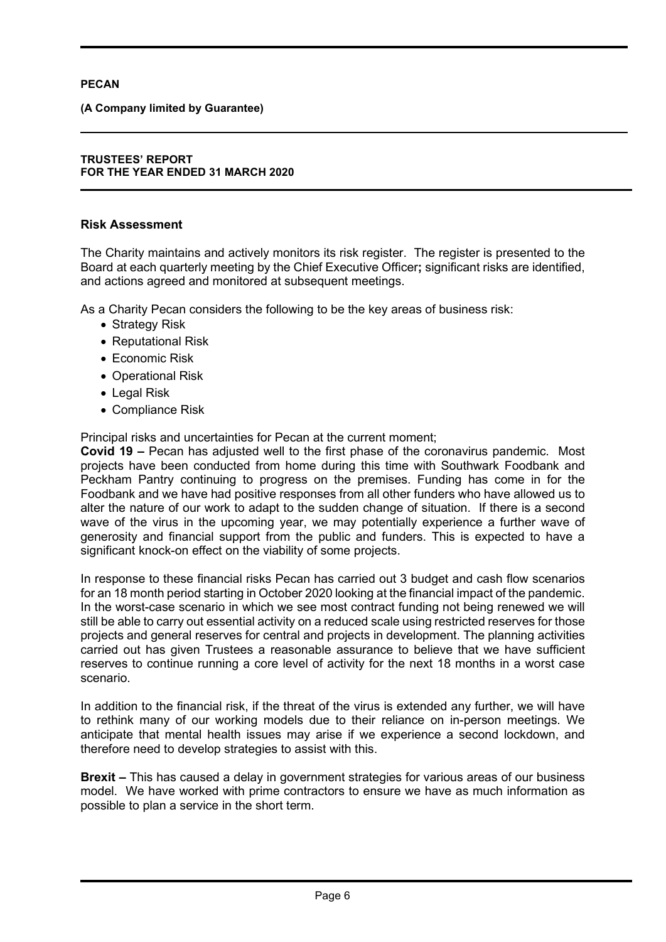**(A Company limited by Guarantee)** 

### **TRUSTEES' REPORT FOR THE YEAR ENDED 31 MARCH 2020**

# **Risk Assessment**

The Charity maintains and actively monitors its risk register. The register is presented to the Board at each quarterly meeting by the Chief Executive Officer**;** significant risks are identified, and actions agreed and monitored at subsequent meetings.

As a Charity Pecan considers the following to be the key areas of business risk:

- Strategy Risk
- Reputational Risk
- Economic Risk
- Operational Risk
- Legal Risk
- Compliance Risk

Principal risks and uncertainties for Pecan at the current moment;

**Covid 19 –** Pecan has adjusted well to the first phase of the coronavirus pandemic. Most projects have been conducted from home during this time with Southwark Foodbank and Peckham Pantry continuing to progress on the premises. Funding has come in for the Foodbank and we have had positive responses from all other funders who have allowed us to alter the nature of our work to adapt to the sudden change of situation. If there is a second wave of the virus in the upcoming year, we may potentially experience a further wave of generosity and financial support from the public and funders. This is expected to have a significant knock-on effect on the viability of some projects.

In response to these financial risks Pecan has carried out 3 budget and cash flow scenarios for an 18 month period starting in October 2020 looking at the financial impact of the pandemic. In the worst-case scenario in which we see most contract funding not being renewed we will still be able to carry out essential activity on a reduced scale using restricted reserves for those projects and general reserves for central and projects in development. The planning activities carried out has given Trustees a reasonable assurance to believe that we have sufficient reserves to continue running a core level of activity for the next 18 months in a worst case scenario.

In addition to the financial risk, if the threat of the virus is extended any further, we will have to rethink many of our working models due to their reliance on in-person meetings. We anticipate that mental health issues may arise if we experience a second lockdown, and therefore need to develop strategies to assist with this.

**Brexit –** This has caused a delay in government strategies for various areas of our business model. We have worked with prime contractors to ensure we have as much information as possible to plan a service in the short term.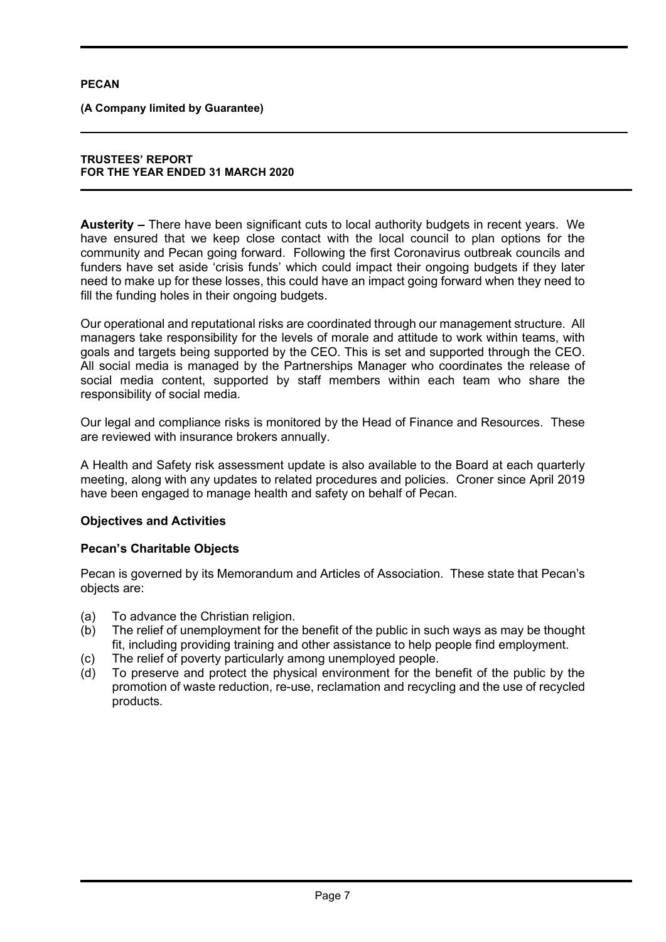**(A Company limited by Guarantee)** 

#### **TRUSTEES' REPORT FOR THE YEAR ENDED 31 MARCH 2020**

**Austerity –** There have been significant cuts to local authority budgets in recent years. We have ensured that we keep close contact with the local council to plan options for the community and Pecan going forward. Following the first Coronavirus outbreak councils and funders have set aside 'crisis funds' which could impact their ongoing budgets if they later need to make up for these losses, this could have an impact going forward when they need to fill the funding holes in their ongoing budgets.

Our operational and reputational risks are coordinated through our management structure. All managers take responsibility for the levels of morale and attitude to work within teams, with goals and targets being supported by the CEO. This is set and supported through the CEO. All social media is managed by the Partnerships Manager who coordinates the release of social media content, supported by staff members within each team who share the responsibility of social media.

Our legal and compliance risks is monitored by the Head of Finance and Resources. These are reviewed with insurance brokers annually.

A Health and Safety risk assessment update is also available to the Board at each quarterly meeting, along with any updates to related procedures and policies. Croner since April 2019 have been engaged to manage health and safety on behalf of Pecan.

# **Objectives and Activities**

# **Pecan's Charitable Objects**

Pecan is governed by its Memorandum and Articles of Association. These state that Pecan's objects are:

- (a) To advance the Christian religion.
- (b) The relief of unemployment for the benefit of the public in such ways as may be thought fit, including providing training and other assistance to help people find employment.
- (c) The relief of poverty particularly among unemployed people.
- (d) To preserve and protect the physical environment for the benefit of the public by the promotion of waste reduction, re-use, reclamation and recycling and the use of recycled products.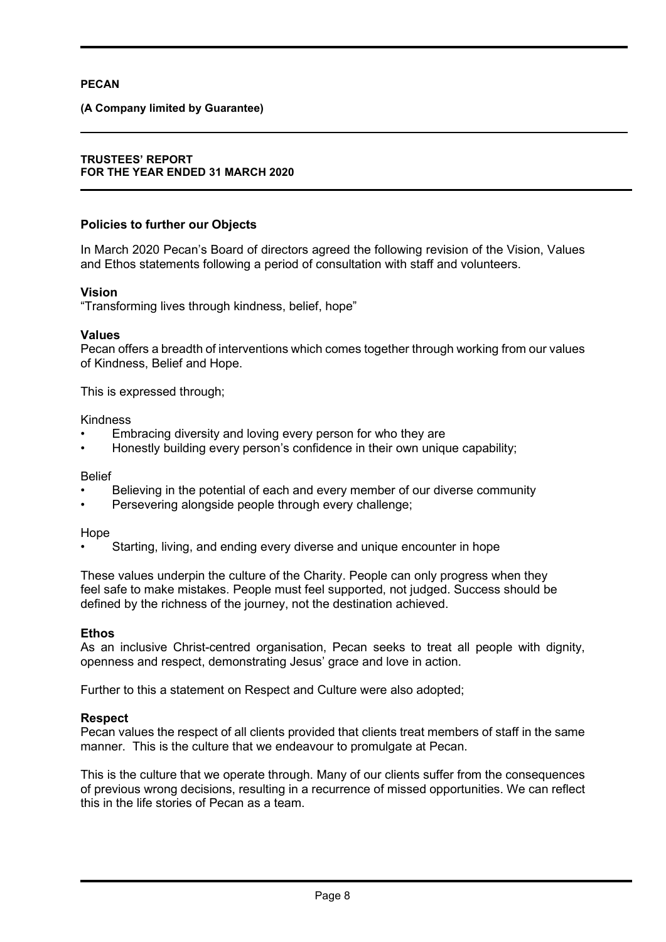## **(A Company limited by Guarantee)**

#### **TRUSTEES' REPORT FOR THE YEAR ENDED 31 MARCH 2020**

# **Policies to further our Objects**

In March 2020 Pecan's Board of directors agreed the following revision of the Vision, Values and Ethos statements following a period of consultation with staff and volunteers.

# **Vision**

"Transforming lives through kindness, belief, hope"

#### **Values**

Pecan offers a breadth of interventions which comes together through working from our values of Kindness, Belief and Hope.

This is expressed through;

#### Kindness

- Embracing diversity and loving every person for who they are
- Honestly building every person's confidence in their own unique capability;

#### Belief

- Believing in the potential of each and every member of our diverse community
- Persevering alongside people through every challenge;

#### Hope

• Starting, living, and ending every diverse and unique encounter in hope

These values underpin the culture of the Charity. People can only progress when they feel safe to make mistakes. People must feel supported, not judged. Success should be defined by the richness of the journey, not the destination achieved.

#### **Ethos**

As an inclusive Christ-centred organisation, Pecan seeks to treat all people with dignity, openness and respect, demonstrating Jesus' grace and love in action.

Further to this a statement on Respect and Culture were also adopted;

#### **Respect**

Pecan values the respect of all clients provided that clients treat members of staff in the same manner. This is the culture that we endeavour to promulgate at Pecan.

This is the culture that we operate through. Many of our clients suffer from the consequences of previous wrong decisions, resulting in a recurrence of missed opportunities. We can reflect this in the life stories of Pecan as a team.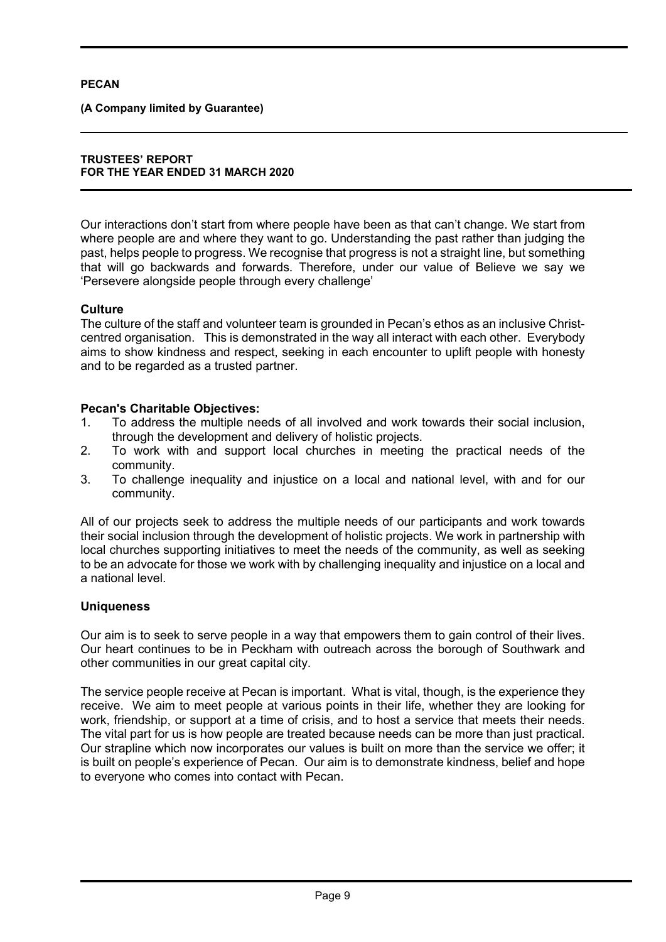**(A Company limited by Guarantee)** 

#### **TRUSTEES' REPORT FOR THE YEAR ENDED 31 MARCH 2020**

Our interactions don't start from where people have been as that can't change. We start from where people are and where they want to go. Understanding the past rather than judging the past, helps people to progress. We recognise that progress is not a straight line, but something that will go backwards and forwards. Therefore, under our value of Believe we say we 'Persevere alongside people through every challenge'

# **Culture**

The culture of the staff and volunteer team is grounded in Pecan's ethos as an inclusive Christcentred organisation. This is demonstrated in the way all interact with each other. Everybody aims to show kindness and respect, seeking in each encounter to uplift people with honesty and to be regarded as a trusted partner.

# **Pecan's Charitable Objectives:**

- 1. To address the multiple needs of all involved and work towards their social inclusion, through the development and delivery of holistic projects.
- 2. To work with and support local churches in meeting the practical needs of the community.
- 3. To challenge inequality and injustice on a local and national level, with and for our community.

All of our projects seek to address the multiple needs of our participants and work towards their social inclusion through the development of holistic projects. We work in partnership with local churches supporting initiatives to meet the needs of the community, as well as seeking to be an advocate for those we work with by challenging inequality and injustice on a local and a national level.

# **Uniqueness**

Our aim is to seek to serve people in a way that empowers them to gain control of their lives. Our heart continues to be in Peckham with outreach across the borough of Southwark and other communities in our great capital city.

The service people receive at Pecan is important. What is vital, though, is the experience they receive. We aim to meet people at various points in their life, whether they are looking for work, friendship, or support at a time of crisis, and to host a service that meets their needs. The vital part for us is how people are treated because needs can be more than just practical. Our strapline which now incorporates our values is built on more than the service we offer; it is built on people's experience of Pecan. Our aim is to demonstrate kindness, belief and hope to everyone who comes into contact with Pecan.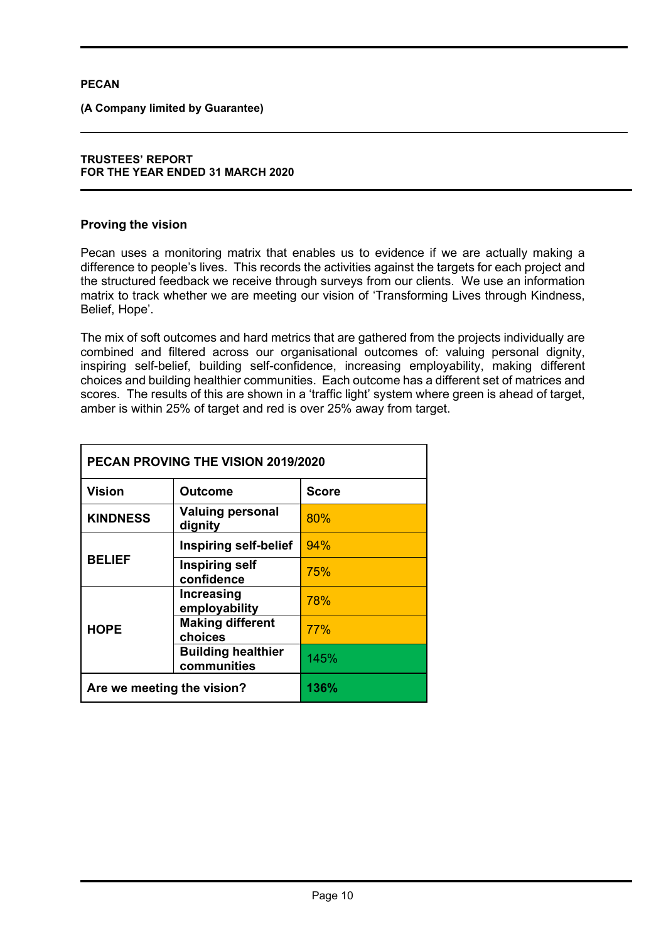**(A Company limited by Guarantee)** 

### **TRUSTEES' REPORT FOR THE YEAR ENDED 31 MARCH 2020**

# **Proving the vision**

Pecan uses a monitoring matrix that enables us to evidence if we are actually making a difference to people's lives. This records the activities against the targets for each project and the structured feedback we receive through surveys from our clients. We use an information matrix to track whether we are meeting our vision of 'Transforming Lives through Kindness, Belief, Hope'.

The mix of soft outcomes and hard metrics that are gathered from the projects individually are combined and filtered across our organisational outcomes of: valuing personal dignity, inspiring self-belief, building self-confidence, increasing employability, making different choices and building healthier communities. Each outcome has a different set of matrices and scores. The results of this are shown in a 'traffic light' system where green is ahead of target, amber is within 25% of target and red is over 25% away from target.

| PECAN PROVING THE VISION 2019/2020 |                                          |              |  |
|------------------------------------|------------------------------------------|--------------|--|
| <b>Vision</b>                      | <b>Outcome</b>                           | <b>Score</b> |  |
| <b>KINDNESS</b>                    | <b>Valuing personal</b><br>dignity       | 80%          |  |
|                                    | Inspiring self-belief                    | 94%          |  |
| <b>BELIEF</b>                      | <b>Inspiring self</b><br>confidence      | 75%          |  |
|                                    | Increasing<br>employability              | 78%          |  |
| <b>HOPE</b>                        | <b>Making different</b><br>choices       | 77%          |  |
|                                    | <b>Building healthier</b><br>communities | 145%         |  |
| Are we meeting the vision?         |                                          | 136%         |  |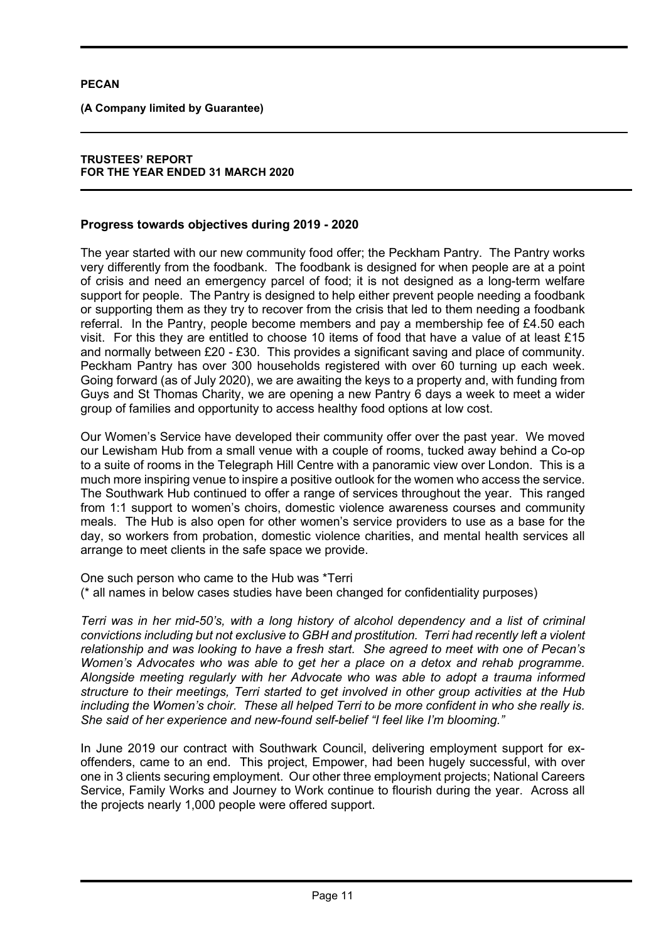**(A Company limited by Guarantee)** 

# **TRUSTEES' REPORT FOR THE YEAR ENDED 31 MARCH 2020**

# **Progress towards objectives during 2019 - 2020**

The year started with our new community food offer; the Peckham Pantry. The Pantry works very differently from the foodbank. The foodbank is designed for when people are at a point of crisis and need an emergency parcel of food; it is not designed as a long-term welfare support for people. The Pantry is designed to help either prevent people needing a foodbank or supporting them as they try to recover from the crisis that led to them needing a foodbank referral. In the Pantry, people become members and pay a membership fee of £4.50 each visit. For this they are entitled to choose 10 items of food that have a value of at least £15 and normally between £20 - £30. This provides a significant saving and place of community. Peckham Pantry has over 300 households registered with over 60 turning up each week. Going forward (as of July 2020), we are awaiting the keys to a property and, with funding from Guys and St Thomas Charity, we are opening a new Pantry 6 days a week to meet a wider group of families and opportunity to access healthy food options at low cost.

Our Women's Service have developed their community offer over the past year. We moved our Lewisham Hub from a small venue with a couple of rooms, tucked away behind a Co-op to a suite of rooms in the Telegraph Hill Centre with a panoramic view over London. This is a much more inspiring venue to inspire a positive outlook for the women who access the service. The Southwark Hub continued to offer a range of services throughout the year. This ranged from 1:1 support to women's choirs, domestic violence awareness courses and community meals. The Hub is also open for other women's service providers to use as a base for the day, so workers from probation, domestic violence charities, and mental health services all arrange to meet clients in the safe space we provide.

One such person who came to the Hub was \*Terri (\* all names in below cases studies have been changed for confidentiality purposes)

*Terri was in her mid-50's, with a long history of alcohol dependency and a list of criminal convictions including but not exclusive to GBH and prostitution. Terri had recently left a violent relationship and was looking to have a fresh start. She agreed to meet with one of Pecan's Women's Advocates who was able to get her a place on a detox and rehab programme. Alongside meeting regularly with her Advocate who was able to adopt a trauma informed structure to their meetings, Terri started to get involved in other group activities at the Hub including the Women's choir. These all helped Terri to be more confident in who she really is. She said of her experience and new-found self-belief "I feel like I'm blooming."* 

In June 2019 our contract with Southwark Council, delivering employment support for exoffenders, came to an end. This project, Empower, had been hugely successful, with over one in 3 clients securing employment. Our other three employment projects; National Careers Service, Family Works and Journey to Work continue to flourish during the year. Across all the projects nearly 1,000 people were offered support.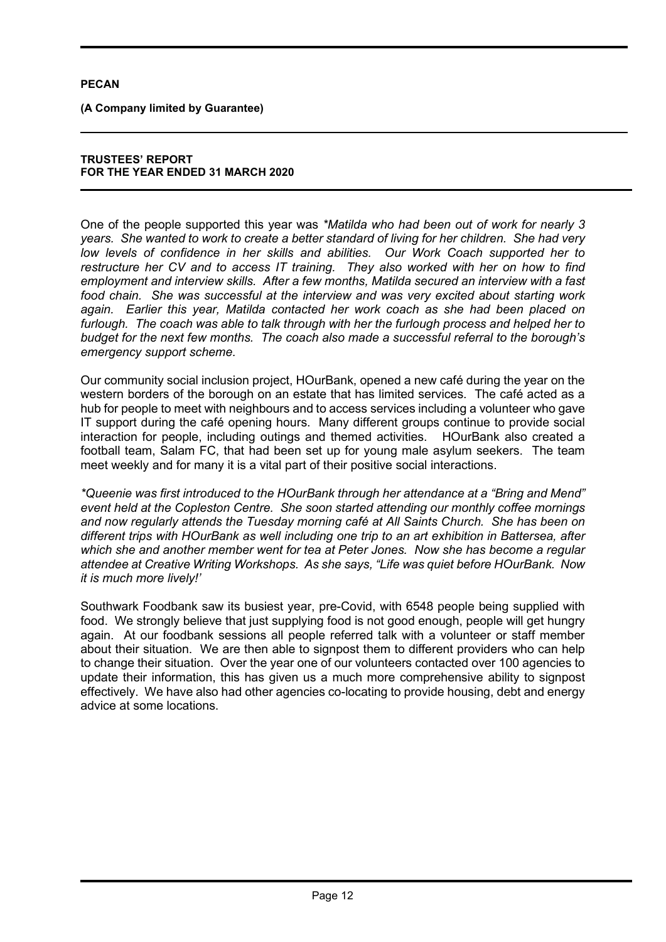**(A Company limited by Guarantee)** 

#### **TRUSTEES' REPORT FOR THE YEAR ENDED 31 MARCH 2020**

One of the people supported this year was *\*Matilda who had been out of work for nearly 3 years. She wanted to work to create a better standard of living for her children. She had very low levels of confidence in her skills and abilities. Our Work Coach supported her to restructure her CV and to access IT training. They also worked with her on how to find employment and interview skills. After a few months, Matilda secured an interview with a fast food chain. She was successful at the interview and was very excited about starting work again. Earlier this year, Matilda contacted her work coach as she had been placed on furlough. The coach was able to talk through with her the furlough process and helped her to budget for the next few months. The coach also made a successful referral to the borough's emergency support scheme.* 

Our community social inclusion project, HOurBank, opened a new café during the year on the western borders of the borough on an estate that has limited services. The café acted as a hub for people to meet with neighbours and to access services including a volunteer who gave IT support during the café opening hours. Many different groups continue to provide social interaction for people, including outings and themed activities. HOurBank also created a football team, Salam FC, that had been set up for young male asylum seekers. The team meet weekly and for many it is a vital part of their positive social interactions.

*\*Queenie was first introduced to the HOurBank through her attendance at a "Bring and Mend" event held at the Copleston Centre. She soon started attending our monthly coffee mornings and now regularly attends the Tuesday morning café at All Saints Church. She has been on different trips with HOurBank as well including one trip to an art exhibition in Battersea, after which she and another member went for tea at Peter Jones. Now she has become a regular attendee at Creative Writing Workshops. As she says, "Life was quiet before HOurBank. Now it is much more lively!'* 

Southwark Foodbank saw its busiest year, pre-Covid, with 6548 people being supplied with food. We strongly believe that just supplying food is not good enough, people will get hungry again. At our foodbank sessions all people referred talk with a volunteer or staff member about their situation. We are then able to signpost them to different providers who can help to change their situation. Over the year one of our volunteers contacted over 100 agencies to update their information, this has given us a much more comprehensive ability to signpost effectively. We have also had other agencies co-locating to provide housing, debt and energy advice at some locations.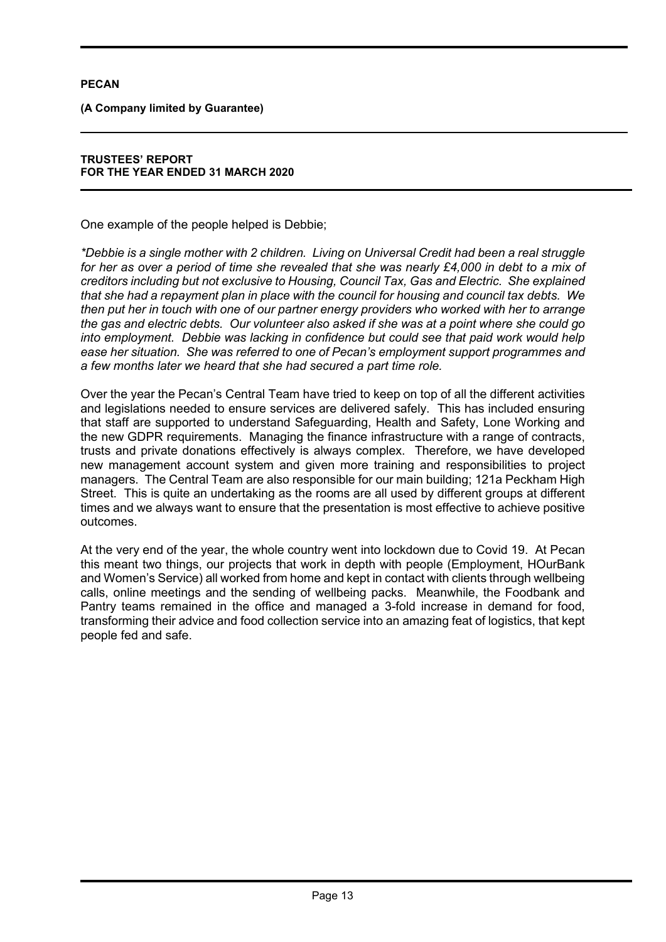**(A Company limited by Guarantee)** 

# **TRUSTEES' REPORT FOR THE YEAR ENDED 31 MARCH 2020**

One example of the people helped is Debbie;

*\*Debbie is a single mother with 2 children. Living on Universal Credit had been a real struggle*  for her as over a period of time she revealed that she was nearly £4,000 in debt to a mix of *creditors including but not exclusive to Housing, Council Tax, Gas and Electric. She explained that she had a repayment plan in place with the council for housing and council tax debts. We then put her in touch with one of our partner energy providers who worked with her to arrange the gas and electric debts. Our volunteer also asked if she was at a point where she could go into employment. Debbie was lacking in confidence but could see that paid work would help ease her situation. She was referred to one of Pecan's employment support programmes and a few months later we heard that she had secured a part time role.* 

Over the year the Pecan's Central Team have tried to keep on top of all the different activities and legislations needed to ensure services are delivered safely. This has included ensuring that staff are supported to understand Safeguarding, Health and Safety, Lone Working and the new GDPR requirements. Managing the finance infrastructure with a range of contracts, trusts and private donations effectively is always complex. Therefore, we have developed new management account system and given more training and responsibilities to project managers. The Central Team are also responsible for our main building; 121a Peckham High Street. This is quite an undertaking as the rooms are all used by different groups at different times and we always want to ensure that the presentation is most effective to achieve positive outcomes.

At the very end of the year, the whole country went into lockdown due to Covid 19. At Pecan this meant two things, our projects that work in depth with people (Employment, HOurBank and Women's Service) all worked from home and kept in contact with clients through wellbeing calls, online meetings and the sending of wellbeing packs. Meanwhile, the Foodbank and Pantry teams remained in the office and managed a 3-fold increase in demand for food, transforming their advice and food collection service into an amazing feat of logistics, that kept people fed and safe.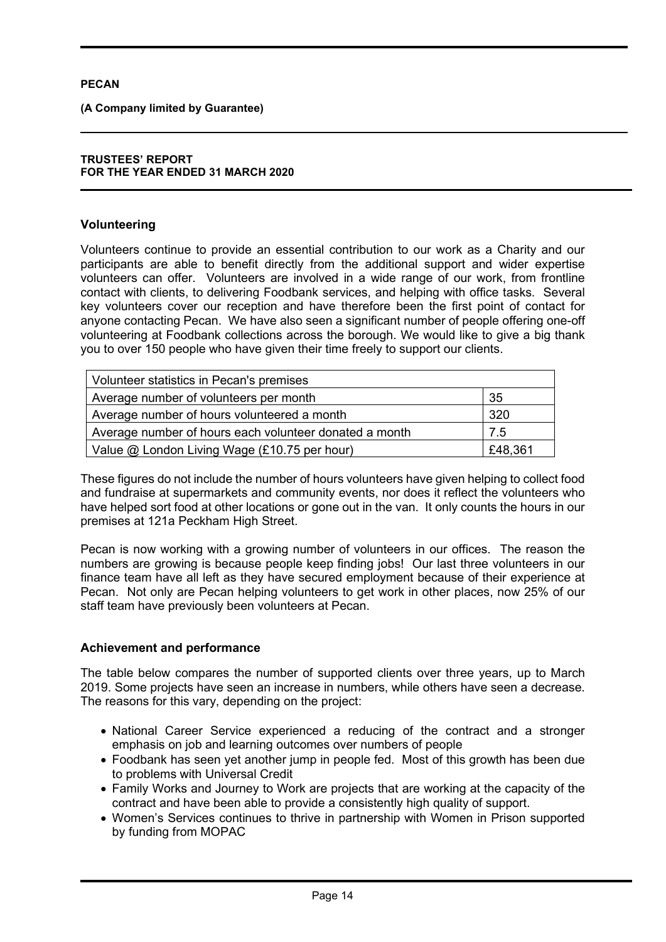**(A Company limited by Guarantee)** 

#### **TRUSTEES' REPORT FOR THE YEAR ENDED 31 MARCH 2020**

# **Volunteering**

Volunteers continue to provide an essential contribution to our work as a Charity and our participants are able to benefit directly from the additional support and wider expertise volunteers can offer. Volunteers are involved in a wide range of our work, from frontline contact with clients, to delivering Foodbank services, and helping with office tasks. Several key volunteers cover our reception and have therefore been the first point of contact for anyone contacting Pecan. We have also seen a significant number of people offering one-off volunteering at Foodbank collections across the borough. We would like to give a big thank you to over 150 people who have given their time freely to support our clients.

| Volunteer statistics in Pecan's premises               |         |
|--------------------------------------------------------|---------|
| Average number of volunteers per month                 | 35      |
| Average number of hours volunteered a month            | 320     |
| Average number of hours each volunteer donated a month | 7.5     |
| Value @ London Living Wage (£10.75 per hour)           | £48,361 |

These figures do not include the number of hours volunteers have given helping to collect food and fundraise at supermarkets and community events, nor does it reflect the volunteers who have helped sort food at other locations or gone out in the van. It only counts the hours in our premises at 121a Peckham High Street.

Pecan is now working with a growing number of volunteers in our offices. The reason the numbers are growing is because people keep finding jobs! Our last three volunteers in our finance team have all left as they have secured employment because of their experience at Pecan. Not only are Pecan helping volunteers to get work in other places, now 25% of our staff team have previously been volunteers at Pecan.

# **Achievement and performance**

The table below compares the number of supported clients over three years, up to March 2019. Some projects have seen an increase in numbers, while others have seen a decrease. The reasons for this vary, depending on the project:

- National Career Service experienced a reducing of the contract and a stronger emphasis on job and learning outcomes over numbers of people
- Foodbank has seen yet another jump in people fed. Most of this growth has been due to problems with Universal Credit
- Family Works and Journey to Work are projects that are working at the capacity of the contract and have been able to provide a consistently high quality of support.
- Women's Services continues to thrive in partnership with Women in Prison supported by funding from MOPAC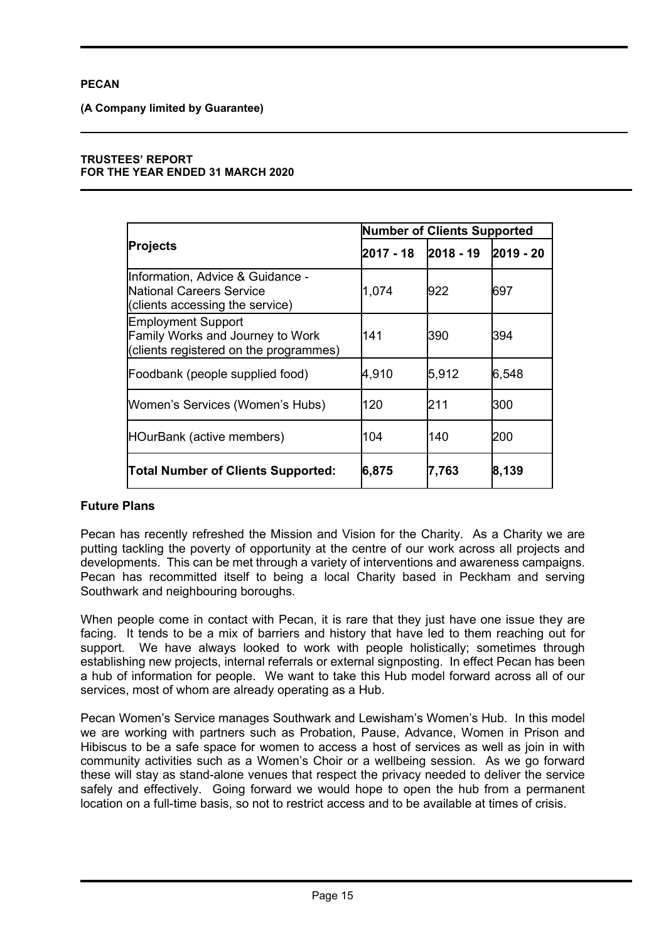**(A Company limited by Guarantee)** 

#### **TRUSTEES' REPORT FOR THE YEAR ENDED 31 MARCH 2020**

|                                                                                                         | <b>Number of Clients Supported</b> |           |           |  |
|---------------------------------------------------------------------------------------------------------|------------------------------------|-----------|-----------|--|
| <b>Projects</b>                                                                                         | 2017 - 18                          | 2018 - 19 | 2019 - 20 |  |
| Information, Advice & Guidance -<br>National Careers Service<br>(clients accessing the service)         | 1,074                              | 922       | 697       |  |
| <b>Employment Support</b><br>Family Works and Journey to Work<br>(clients registered on the programmes) | 141                                | 390       | l394      |  |
| Foodbank (people supplied food)                                                                         | 4,910                              | 5,912     | 6,548     |  |
| Women's Services (Women's Hubs)                                                                         | 120                                | 211       | l300      |  |
| HOurBank (active members)                                                                               | 104                                | 140       | I200      |  |
| <b>Total Number of Clients Supported:</b>                                                               | 6,875                              | 7,763     | 8,139     |  |

# **Future Plans**

Pecan has recently refreshed the Mission and Vision for the Charity. As a Charity we are putting tackling the poverty of opportunity at the centre of our work across all projects and developments. This can be met through a variety of interventions and awareness campaigns. Pecan has recommitted itself to being a local Charity based in Peckham and serving Southwark and neighbouring boroughs.

When people come in contact with Pecan, it is rare that they just have one issue they are facing. It tends to be a mix of barriers and history that have led to them reaching out for support. We have always looked to work with people holistically; sometimes through establishing new projects, internal referrals or external signposting. In effect Pecan has been a hub of information for people. We want to take this Hub model forward across all of our services, most of whom are already operating as a Hub.

Pecan Women's Service manages Southwark and Lewisham's Women's Hub. In this model we are working with partners such as Probation, Pause, Advance, Women in Prison and Hibiscus to be a safe space for women to access a host of services as well as join in with community activities such as a Women's Choir or a wellbeing session. As we go forward these will stay as stand-alone venues that respect the privacy needed to deliver the service safely and effectively. Going forward we would hope to open the hub from a permanent location on a full-time basis, so not to restrict access and to be available at times of crisis.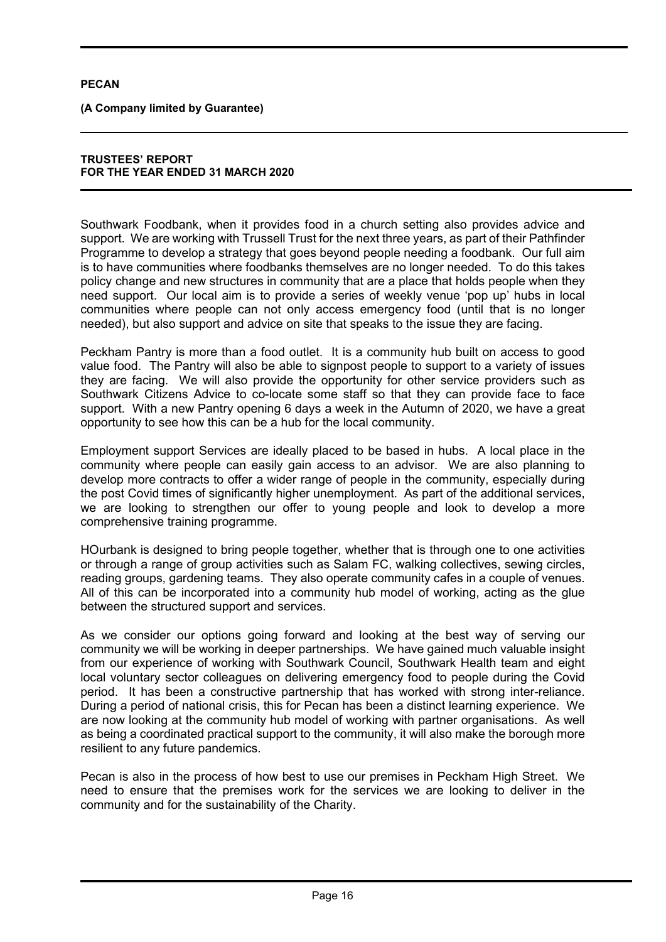**(A Company limited by Guarantee)** 

#### **TRUSTEES' REPORT FOR THE YEAR ENDED 31 MARCH 2020**

Southwark Foodbank, when it provides food in a church setting also provides advice and support. We are working with Trussell Trust for the next three years, as part of their Pathfinder Programme to develop a strategy that goes beyond people needing a foodbank. Our full aim is to have communities where foodbanks themselves are no longer needed. To do this takes policy change and new structures in community that are a place that holds people when they need support. Our local aim is to provide a series of weekly venue 'pop up' hubs in local communities where people can not only access emergency food (until that is no longer needed), but also support and advice on site that speaks to the issue they are facing.

Peckham Pantry is more than a food outlet. It is a community hub built on access to good value food. The Pantry will also be able to signpost people to support to a variety of issues they are facing. We will also provide the opportunity for other service providers such as Southwark Citizens Advice to co-locate some staff so that they can provide face to face support. With a new Pantry opening 6 days a week in the Autumn of 2020, we have a great opportunity to see how this can be a hub for the local community.

Employment support Services are ideally placed to be based in hubs. A local place in the community where people can easily gain access to an advisor. We are also planning to develop more contracts to offer a wider range of people in the community, especially during the post Covid times of significantly higher unemployment. As part of the additional services, we are looking to strengthen our offer to young people and look to develop a more comprehensive training programme.

HOurbank is designed to bring people together, whether that is through one to one activities or through a range of group activities such as Salam FC, walking collectives, sewing circles, reading groups, gardening teams. They also operate community cafes in a couple of venues. All of this can be incorporated into a community hub model of working, acting as the glue between the structured support and services.

As we consider our options going forward and looking at the best way of serving our community we will be working in deeper partnerships. We have gained much valuable insight from our experience of working with Southwark Council, Southwark Health team and eight local voluntary sector colleagues on delivering emergency food to people during the Covid period. It has been a constructive partnership that has worked with strong inter-reliance. During a period of national crisis, this for Pecan has been a distinct learning experience. We are now looking at the community hub model of working with partner organisations. As well as being a coordinated practical support to the community, it will also make the borough more resilient to any future pandemics.

Pecan is also in the process of how best to use our premises in Peckham High Street. We need to ensure that the premises work for the services we are looking to deliver in the community and for the sustainability of the Charity.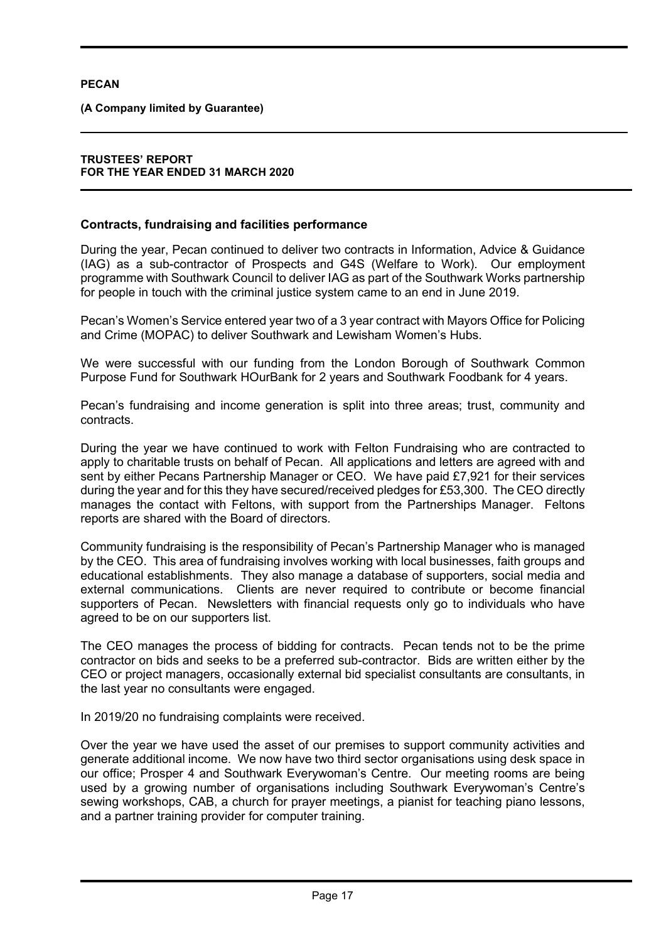**(A Company limited by Guarantee)** 

# **TRUSTEES' REPORT FOR THE YEAR ENDED 31 MARCH 2020**

# **Contracts, fundraising and facilities performance**

During the year, Pecan continued to deliver two contracts in Information, Advice & Guidance (IAG) as a sub-contractor of Prospects and G4S (Welfare to Work). Our employment programme with Southwark Council to deliver IAG as part of the Southwark Works partnership for people in touch with the criminal justice system came to an end in June 2019.

Pecan's Women's Service entered year two of a 3 year contract with Mayors Office for Policing and Crime (MOPAC) to deliver Southwark and Lewisham Women's Hubs.

We were successful with our funding from the London Borough of Southwark Common Purpose Fund for Southwark HOurBank for 2 years and Southwark Foodbank for 4 years.

Pecan's fundraising and income generation is split into three areas; trust, community and contracts.

During the year we have continued to work with Felton Fundraising who are contracted to apply to charitable trusts on behalf of Pecan. All applications and letters are agreed with and sent by either Pecans Partnership Manager or CEO. We have paid £7,921 for their services during the year and for this they have secured/received pledges for £53,300. The CEO directly manages the contact with Feltons, with support from the Partnerships Manager. Feltons reports are shared with the Board of directors.

Community fundraising is the responsibility of Pecan's Partnership Manager who is managed by the CEO. This area of fundraising involves working with local businesses, faith groups and educational establishments. They also manage a database of supporters, social media and external communications. Clients are never required to contribute or become financial supporters of Pecan. Newsletters with financial requests only go to individuals who have agreed to be on our supporters list.

The CEO manages the process of bidding for contracts. Pecan tends not to be the prime contractor on bids and seeks to be a preferred sub-contractor. Bids are written either by the CEO or project managers, occasionally external bid specialist consultants are consultants, in the last year no consultants were engaged.

In 2019/20 no fundraising complaints were received.

Over the year we have used the asset of our premises to support community activities and generate additional income. We now have two third sector organisations using desk space in our office; Prosper 4 and Southwark Everywoman's Centre. Our meeting rooms are being used by a growing number of organisations including Southwark Everywoman's Centre's sewing workshops, CAB, a church for prayer meetings, a pianist for teaching piano lessons, and a partner training provider for computer training.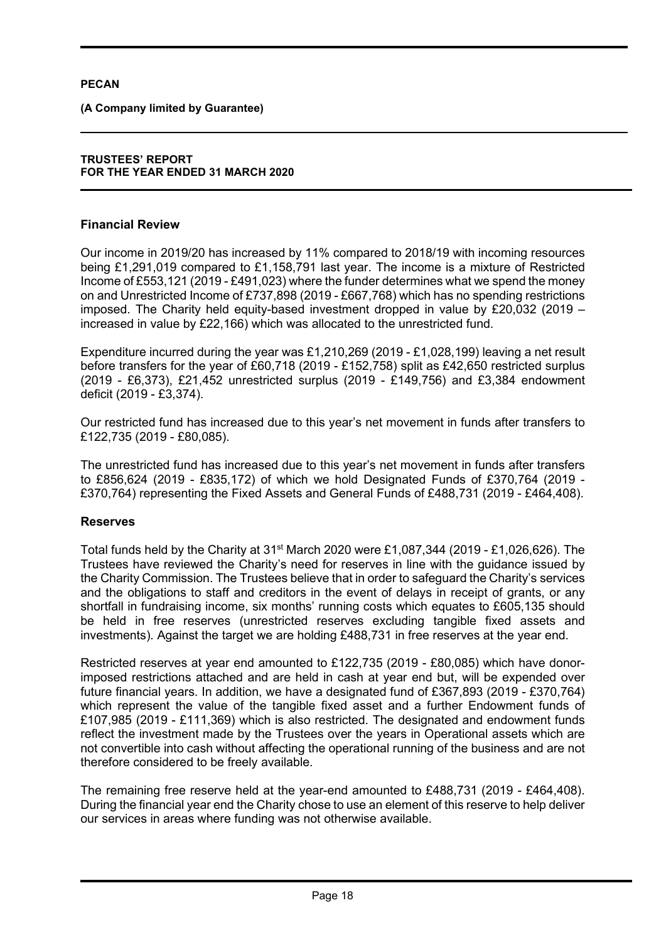**(A Company limited by Guarantee)** 

#### **TRUSTEES' REPORT FOR THE YEAR ENDED 31 MARCH 2020**

# **Financial Review**

Our income in 2019/20 has increased by 11% compared to 2018/19 with incoming resources being £1,291,019 compared to £1,158,791 last year. The income is a mixture of Restricted Income of £553,121 (2019 - £491,023) where the funder determines what we spend the money on and Unrestricted Income of £737,898 (2019 - £667,768) which has no spending restrictions imposed. The Charity held equity-based investment dropped in value by £20,032 (2019 – increased in value by £22,166) which was allocated to the unrestricted fund.

Expenditure incurred during the year was £1,210,269 (2019 - £1,028,199) leaving a net result before transfers for the year of £60,718 (2019 - £152,758) split as £42,650 restricted surplus (2019 - £6,373), £21,452 unrestricted surplus (2019 - £149,756) and £3,384 endowment deficit (2019 - £3,374).

Our restricted fund has increased due to this year's net movement in funds after transfers to £122,735 (2019 - £80,085).

The unrestricted fund has increased due to this year's net movement in funds after transfers to £856,624 (2019 - £835,172) of which we hold Designated Funds of £370,764 (2019 - £370,764) representing the Fixed Assets and General Funds of £488,731 (2019 - £464,408).

# **Reserves**

Total funds held by the Charity at  $31<sup>st</sup>$  March 2020 were £1,087,344 (2019 - £1,026,626). The Trustees have reviewed the Charity's need for reserves in line with the guidance issued by the Charity Commission. The Trustees believe that in order to safeguard the Charity's services and the obligations to staff and creditors in the event of delays in receipt of grants, or any shortfall in fundraising income, six months' running costs which equates to £605,135 should be held in free reserves (unrestricted reserves excluding tangible fixed assets and investments). Against the target we are holding £488,731 in free reserves at the year end.

Restricted reserves at year end amounted to £122,735 (2019 - £80,085) which have donorimposed restrictions attached and are held in cash at year end but, will be expended over future financial years. In addition, we have a designated fund of £367,893 (2019 - £370,764) which represent the value of the tangible fixed asset and a further Endowment funds of £107,985 (2019 - £111,369) which is also restricted. The designated and endowment funds reflect the investment made by the Trustees over the years in Operational assets which are not convertible into cash without affecting the operational running of the business and are not therefore considered to be freely available.

The remaining free reserve held at the year-end amounted to £488,731 (2019 - £464,408). During the financial year end the Charity chose to use an element of this reserve to help deliver our services in areas where funding was not otherwise available.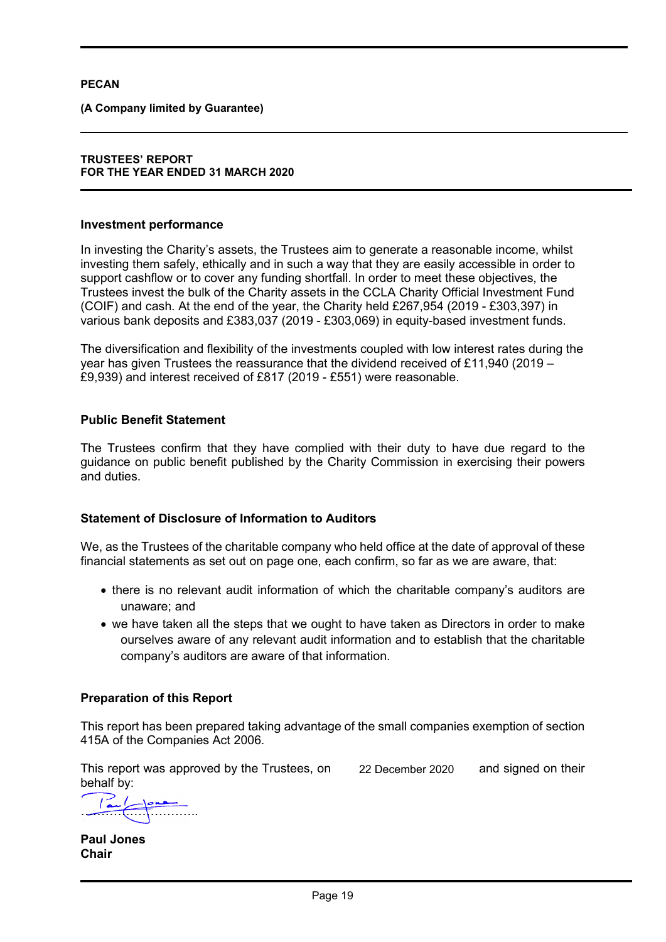**(A Company limited by Guarantee)** 

### **TRUSTEES' REPORT FOR THE YEAR ENDED 31 MARCH 2020**

## **Investment performance**

In investing the Charity's assets, the Trustees aim to generate a reasonable income, whilst investing them safely, ethically and in such a way that they are easily accessible in order to support cashflow or to cover any funding shortfall. In order to meet these objectives, the Trustees invest the bulk of the Charity assets in the CCLA Charity Official Investment Fund (COIF) and cash. At the end of the year, the Charity held £267,954 (2019 - £303,397) in various bank deposits and £383,037 (2019 - £303,069) in equity-based investment funds.

The diversification and flexibility of the investments coupled with low interest rates during the year has given Trustees the reassurance that the dividend received of £11,940 (2019 – £9,939) and interest received of £817 (2019 - £551) were reasonable.

# **Public Benefit Statement**

The Trustees confirm that they have complied with their duty to have due regard to the guidance on public benefit published by the Charity Commission in exercising their powers and duties.

# **Statement of Disclosure of Information to Auditors**

We, as the Trustees of the charitable company who held office at the date of approval of these financial statements as set out on page one, each confirm, so far as we are aware, that:

- there is no relevant audit information of which the charitable company's auditors are unaware; and
- we have taken all the steps that we ought to have taken as Directors in order to make ourselves aware of any relevant audit information and to establish that the charitable company's auditors are aware of that information.

# **Preparation of this Report**

This report has been prepared taking advantage of the small companies exemption of section 415A of the Companies Act 2006.

This report was approved by the Trustees, on  $22$  December 2020 and signed on their behalf by:

22 December 2020

 $\frac{1}{\sqrt{1-\frac{1}{2}}}\left(\frac{1}{\sqrt{1-\frac{1}{2}}}\right)$ 

**Paul Jones Chair**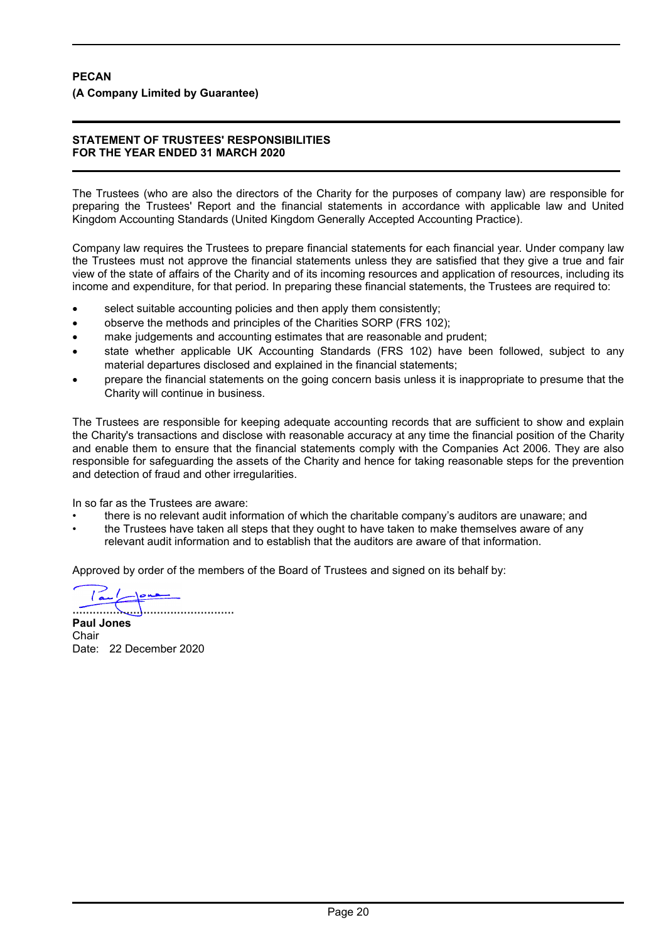# **PECAN (A Company Limited by Guarantee)**

#### **STATEMENT OF TRUSTEES' RESPONSIBILITIES FOR THE YEAR ENDED 31 MARCH 2020**

The Trustees (who are also the directors of the Charity for the purposes of company law) are responsible for preparing the Trustees' Report and the financial statements in accordance with applicable law and United Kingdom Accounting Standards (United Kingdom Generally Accepted Accounting Practice).

Company law requires the Trustees to prepare financial statements for each financial year. Under company law the Trustees must not approve the financial statements unless they are satisfied that they give a true and fair view of the state of affairs of the Charity and of its incoming resources and application of resources, including its income and expenditure, for that period. In preparing these financial statements, the Trustees are required to:

- select suitable accounting policies and then apply them consistently;
- observe the methods and principles of the Charities SORP (FRS 102);
- make judgements and accounting estimates that are reasonable and prudent;
- state whether applicable UK Accounting Standards (FRS 102) have been followed, subject to any material departures disclosed and explained in the financial statements;
- prepare the financial statements on the going concern basis unless it is inappropriate to presume that the Charity will continue in business.

The Trustees are responsible for keeping adequate accounting records that are sufficient to show and explain the Charity's transactions and disclose with reasonable accuracy at any time the financial position of the Charity and enable them to ensure that the financial statements comply with the Companies Act 2006. They are also responsible for safeguarding the assets of the Charity and hence for taking reasonable steps for the prevention and detection of fraud and other irregularities.

In so far as the Trustees are aware:

- there is no relevant audit information of which the charitable company's auditors are unaware; and
- the Trustees have taken all steps that they ought to have taken to make themselves aware of any relevant audit information and to establish that the auditors are aware of that information.

Approved by order of the members of the Board of Trustees and signed on its behalf by:

برائعة ا ................................................

**Paul Jones Chair** Date: 22 December 2020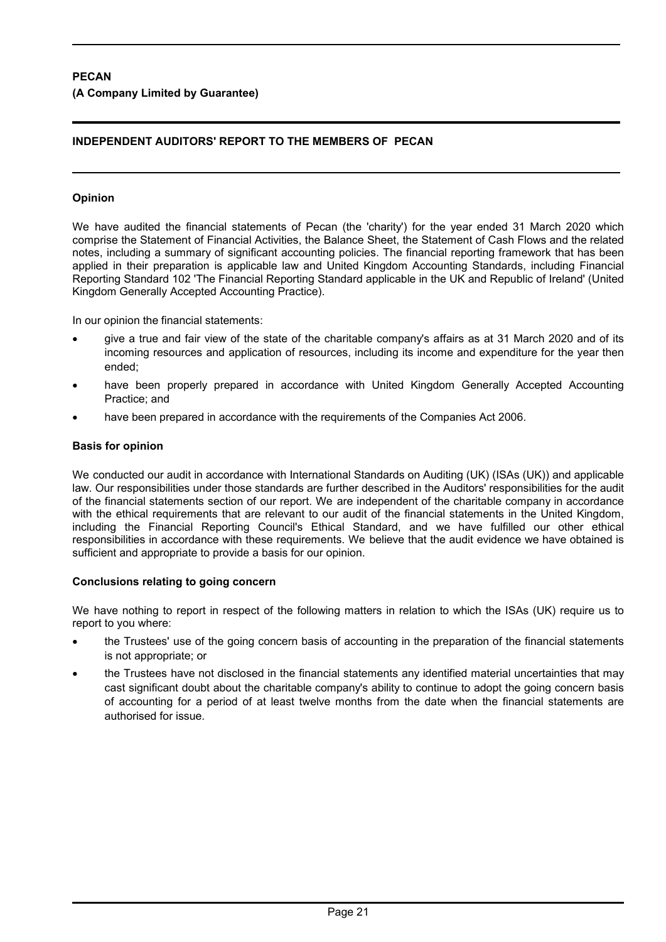# **PECAN (A Company Limited by Guarantee)**

# **INDEPENDENT AUDITORS' REPORT TO THE MEMBERS OF PECAN**

# **Opinion**

We have audited the financial statements of Pecan (the 'charity') for the year ended 31 March 2020 which comprise the Statement of Financial Activities, the Balance Sheet, the Statement of Cash Flows and the related notes, including a summary of significant accounting policies. The financial reporting framework that has been applied in their preparation is applicable law and United Kingdom Accounting Standards, including Financial Reporting Standard 102 'The Financial Reporting Standard applicable in the UK and Republic of Ireland' (United Kingdom Generally Accepted Accounting Practice).

In our opinion the financial statements:

- give a true and fair view of the state of the charitable company's affairs as at 31 March 2020 and of its incoming resources and application of resources, including its income and expenditure for the year then ended;
- have been properly prepared in accordance with United Kingdom Generally Accepted Accounting Practice; and
- have been prepared in accordance with the requirements of the Companies Act 2006.

# **Basis for opinion**

We conducted our audit in accordance with International Standards on Auditing (UK) (ISAs (UK)) and applicable law. Our responsibilities under those standards are further described in the Auditors' responsibilities for the audit of the financial statements section of our report. We are independent of the charitable company in accordance with the ethical requirements that are relevant to our audit of the financial statements in the United Kingdom, including the Financial Reporting Council's Ethical Standard, and we have fulfilled our other ethical responsibilities in accordance with these requirements. We believe that the audit evidence we have obtained is sufficient and appropriate to provide a basis for our opinion.

#### **Conclusions relating to going concern**

We have nothing to report in respect of the following matters in relation to which the ISAs (UK) require us to report to you where:

- the Trustees' use of the going concern basis of accounting in the preparation of the financial statements is not appropriate; or
- the Trustees have not disclosed in the financial statements any identified material uncertainties that may cast significant doubt about the charitable company's ability to continue to adopt the going concern basis of accounting for a period of at least twelve months from the date when the financial statements are authorised for issue.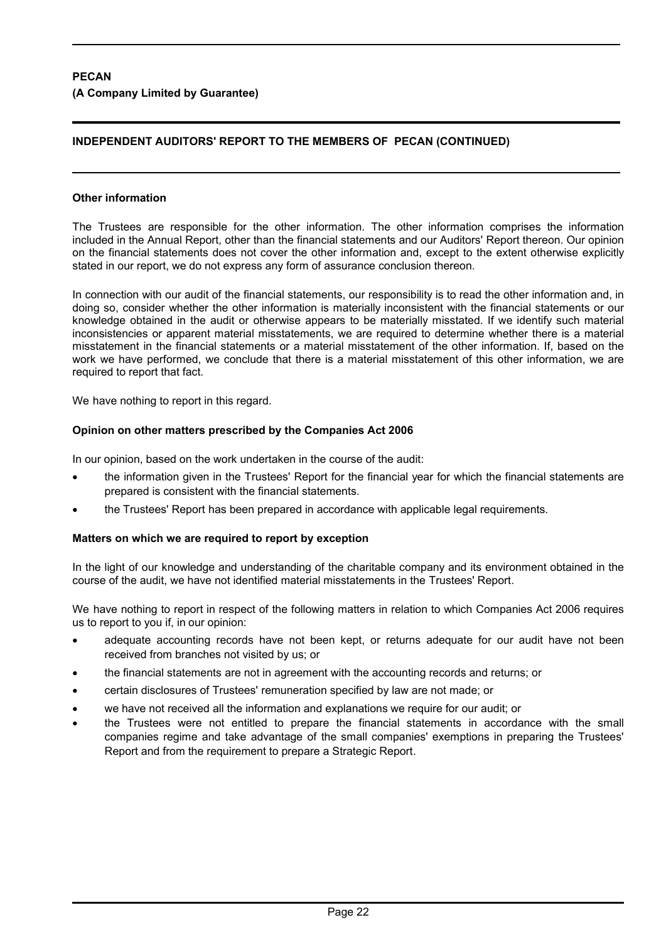# **PECAN (A Company Limited by Guarantee)**

# **INDEPENDENT AUDITORS' REPORT TO THE MEMBERS OF PECAN (CONTINUED)**

## **Other information**

The Trustees are responsible for the other information. The other information comprises the information included in the Annual Report, other than the financial statements and our Auditors' Report thereon. Our opinion on the financial statements does not cover the other information and, except to the extent otherwise explicitly stated in our report, we do not express any form of assurance conclusion thereon.

In connection with our audit of the financial statements, our responsibility is to read the other information and, in doing so, consider whether the other information is materially inconsistent with the financial statements or our knowledge obtained in the audit or otherwise appears to be materially misstated. If we identify such material inconsistencies or apparent material misstatements, we are required to determine whether there is a material misstatement in the financial statements or a material misstatement of the other information. If, based on the work we have performed, we conclude that there is a material misstatement of this other information, we are required to report that fact.

We have nothing to report in this regard.

# **Opinion on other matters prescribed by the Companies Act 2006**

In our opinion, based on the work undertaken in the course of the audit:

- the information given in the Trustees' Report for the financial year for which the financial statements are prepared is consistent with the financial statements.
- the Trustees' Report has been prepared in accordance with applicable legal requirements.

#### **Matters on which we are required to report by exception**

In the light of our knowledge and understanding of the charitable company and its environment obtained in the course of the audit, we have not identified material misstatements in the Trustees' Report.

We have nothing to report in respect of the following matters in relation to which Companies Act 2006 requires us to report to you if, in our opinion:

- adequate accounting records have not been kept, or returns adequate for our audit have not been received from branches not visited by us; or
- the financial statements are not in agreement with the accounting records and returns; or
- certain disclosures of Trustees' remuneration specified by law are not made; or
- we have not received all the information and explanations we require for our audit; or
- the Trustees were not entitled to prepare the financial statements in accordance with the small companies regime and take advantage of the small companies' exemptions in preparing the Trustees' Report and from the requirement to prepare a Strategic Report.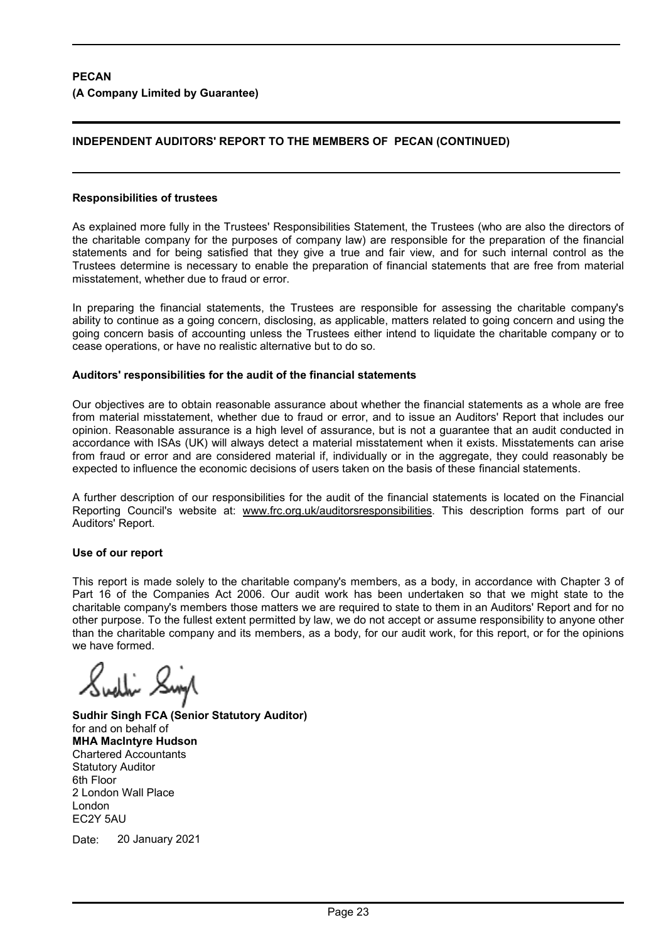# **INDEPENDENT AUDITORS' REPORT TO THE MEMBERS OF PECAN (CONTINUED)**

#### **Responsibilities of trustees**

As explained more fully in the Trustees' Responsibilities Statement, the Trustees (who are also the directors of the charitable company for the purposes of company law) are responsible for the preparation of the financial statements and for being satisfied that they give a true and fair view, and for such internal control as the Trustees determine is necessary to enable the preparation of financial statements that are free from material misstatement, whether due to fraud or error.

In preparing the financial statements, the Trustees are responsible for assessing the charitable company's ability to continue as a going concern, disclosing, as applicable, matters related to going concern and using the going concern basis of accounting unless the Trustees either intend to liquidate the charitable company or to cease operations, or have no realistic alternative but to do so.

#### **Auditors' responsibilities for the audit of the financial statements**

Our objectives are to obtain reasonable assurance about whether the financial statements as a whole are free from material misstatement, whether due to fraud or error, and to issue an Auditors' Report that includes our opinion. Reasonable assurance is a high level of assurance, but is not a guarantee that an audit conducted in accordance with ISAs (UK) will always detect a material misstatement when it exists. Misstatements can arise from fraud or error and are considered material if, individually or in the aggregate, they could reasonably be expected to influence the economic decisions of users taken on the basis of these financial statements.

A further description of our responsibilities for the audit of the financial statements is located on the Financial Reporting Council's website at: www.frc.org.uk/auditorsresponsibilities. This description forms part of our Auditors' Report.

#### **Use of our report**

This report is made solely to the charitable company's members, as a body, in accordance with Chapter 3 of Part 16 of the Companies Act 2006. Our audit work has been undertaken so that we might state to the charitable company's members those matters we are required to state to them in an Auditors' Report and for no other purpose. To the fullest extent permitted by law, we do not accept or assume responsibility to anyone other than the charitable company and its members, as a body, for our audit work, for this report, or for the opinions we have formed.

**Sudhir Singh FCA (Senior Statutory Auditor)** for and on behalf of **MHA MacIntyre Hudson** Chartered Accountants Statutory Auditor 6th Floor 2 London Wall Place London EC2Y 5AU

Date: 20 January 2021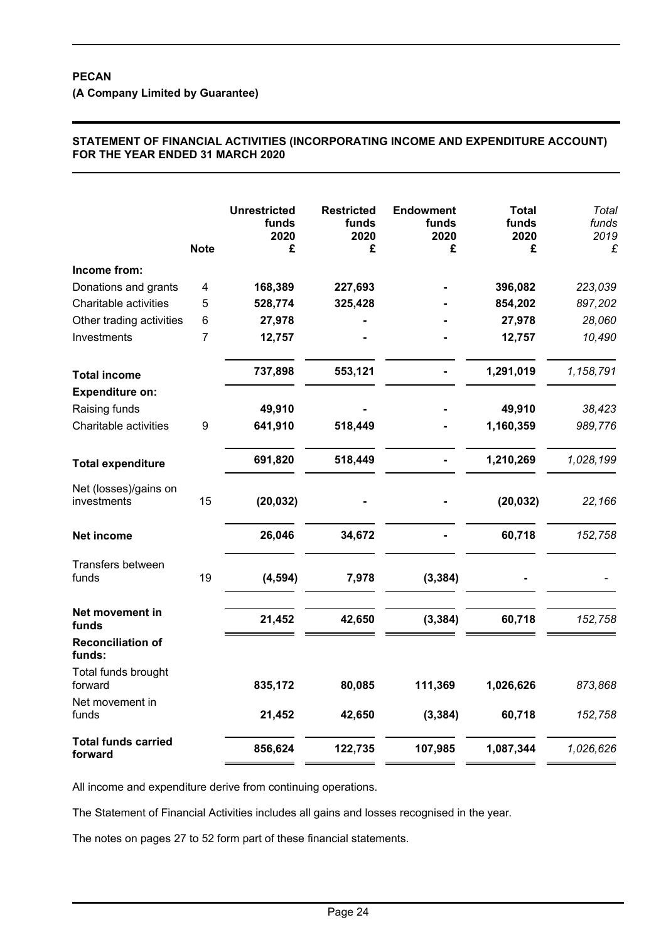**(A Company Limited by Guarantee)**

# **STATEMENT OF FINANCIAL ACTIVITIES (INCORPORATING INCOME AND EXPENDITURE ACCOUNT) FOR THE YEAR ENDED 31 MARCH 2020**

|                                       | <b>Note</b> | <b>Unrestricted</b><br>funds<br>2020<br>£ | <b>Restricted</b><br>funds<br>2020<br>£ | <b>Endowment</b><br>funds<br>2020<br>£ | <b>Total</b><br>funds<br>2020<br>£ | Total<br>funds<br>2019<br>£ |
|---------------------------------------|-------------|-------------------------------------------|-----------------------------------------|----------------------------------------|------------------------------------|-----------------------------|
| Income from:                          |             |                                           |                                         |                                        |                                    |                             |
| Donations and grants                  | 4           | 168,389                                   | 227,693                                 |                                        | 396,082                            | 223,039                     |
| Charitable activities                 | 5           | 528,774                                   | 325,428                                 |                                        | 854,202                            | 897,202                     |
| Other trading activities              | 6           | 27,978                                    |                                         |                                        | 27,978                             | 28,060                      |
| Investments                           | 7           | 12,757                                    |                                         |                                        | 12,757                             | 10,490                      |
| <b>Total income</b>                   |             | 737,898                                   | 553,121                                 |                                        | 1,291,019                          | 1,158,791                   |
| <b>Expenditure on:</b>                |             |                                           |                                         |                                        |                                    |                             |
| Raising funds                         |             | 49,910                                    |                                         |                                        | 49,910                             | 38,423                      |
| Charitable activities                 | 9           | 641,910                                   | 518,449                                 |                                        | 1,160,359                          | 989,776                     |
| <b>Total expenditure</b>              |             | 691,820                                   | 518,449                                 |                                        | 1,210,269                          | 1,028,199                   |
| Net (losses)/gains on<br>investments  | 15          | (20, 032)                                 |                                         |                                        | (20, 032)                          | 22,166                      |
| Net income                            |             | 26,046                                    | 34,672                                  |                                        | 60,718                             | 152,758                     |
| Transfers between<br>funds            | 19          | (4, 594)                                  | 7,978                                   | (3, 384)                               |                                    |                             |
| Net movement in<br>funds              |             | 21,452                                    | 42,650                                  | (3, 384)                               | 60,718                             | 152,758                     |
| <b>Reconciliation of</b><br>funds:    |             |                                           |                                         |                                        |                                    |                             |
| Total funds brought<br>forward        |             | 835,172                                   | 80,085                                  | 111,369                                | 1,026,626                          | 873,868                     |
| Net movement in<br>funds              |             | 21,452                                    | 42,650                                  | (3, 384)                               | 60,718                             | 152,758                     |
| <b>Total funds carried</b><br>forward |             | 856,624                                   | 122,735                                 | 107,985                                | 1,087,344                          | 1,026,626                   |

All income and expenditure derive from continuing operations.

The Statement of Financial Activities includes all gains and losses recognised in the year.

The notes on pages 27 to 52 form part of these financial statements.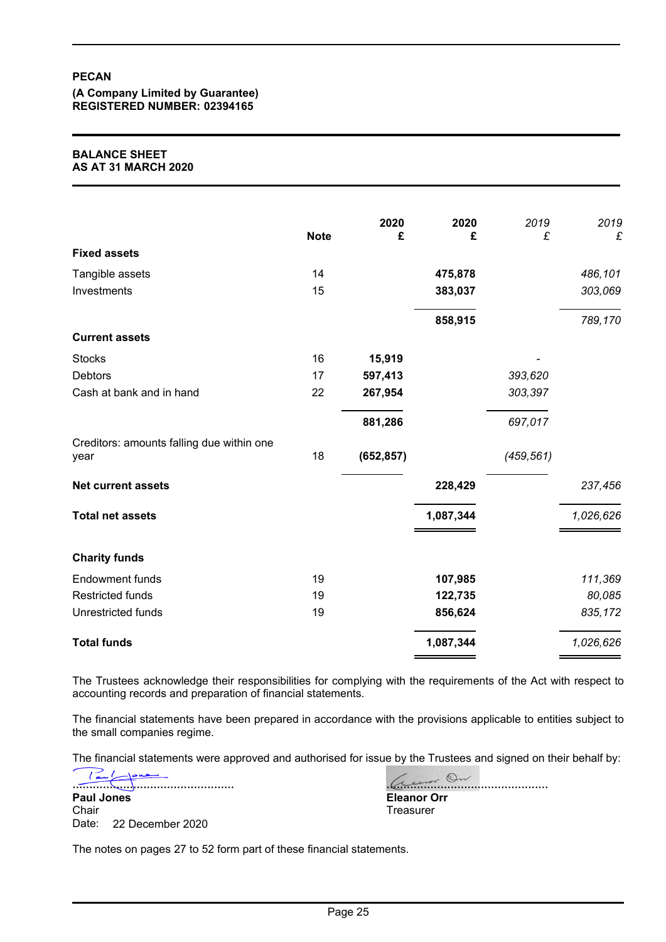**(A Company Limited by Guarantee) REGISTERED NUMBER: 02394165**

#### **BALANCE SHEET AS AT 31 MARCH 2020**

|                                                   | <b>Note</b> | 2020<br>£  | 2020<br>£ | 2019<br>£  | 2019<br>£ |
|---------------------------------------------------|-------------|------------|-----------|------------|-----------|
| <b>Fixed assets</b>                               |             |            |           |            |           |
| Tangible assets                                   | 14          |            | 475,878   |            | 486,101   |
| Investments                                       | 15          |            | 383,037   |            | 303,069   |
|                                                   |             |            | 858,915   |            | 789,170   |
| <b>Current assets</b>                             |             |            |           |            |           |
| <b>Stocks</b>                                     | 16          | 15,919     |           |            |           |
| Debtors                                           | 17          | 597,413    |           | 393,620    |           |
| Cash at bank and in hand                          | 22          | 267,954    |           | 303,397    |           |
|                                                   |             | 881,286    |           | 697,017    |           |
| Creditors: amounts falling due within one<br>year | 18          | (652, 857) |           | (459, 561) |           |
| <b>Net current assets</b>                         |             |            | 228,429   |            | 237,456   |
| <b>Total net assets</b>                           |             |            | 1,087,344 |            | 1,026,626 |
| <b>Charity funds</b>                              |             |            |           |            |           |
| <b>Endowment funds</b>                            | 19          |            | 107,985   |            | 111,369   |
| <b>Restricted funds</b>                           | 19          |            | 122,735   |            | 80,085    |
| Unrestricted funds                                | 19          |            | 856,624   |            | 835,172   |
| <b>Total funds</b>                                |             |            | 1,087,344 |            | 1,026,626 |

The Trustees acknowledge their responsibilities for complying with the requirements of the Act with respect to accounting records and preparation of financial statements.

The financial statements have been prepared in accordance with the provisions applicable to entities subject to the small companies regime.

The financial statements were approved and authorised for issue by the Trustees and signed on their behalf by:

................................................ **Paul Jones Chair** Date: 22 December 2020

<u>eror On</u> **Eleanor Orr Treasurer** 

The notes on pages 27 to 52 form part of these financial statements.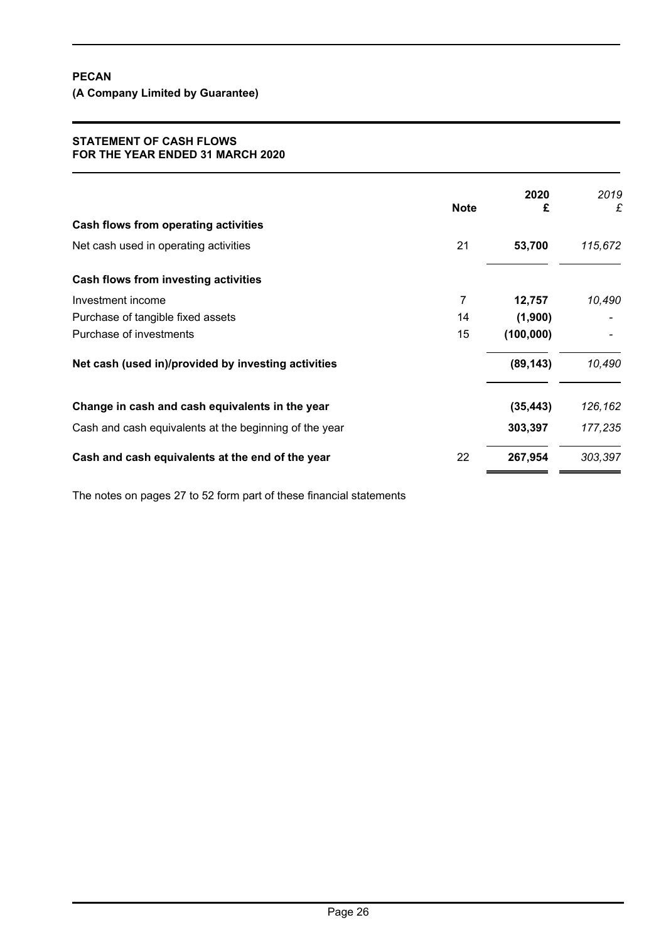**(A Company Limited by Guarantee)**

#### **STATEMENT OF CASH FLOWS FOR THE YEAR ENDED 31 MARCH 2020**

|                                                        | <b>Note</b> | 2020<br>£  | 2019<br>£ |
|--------------------------------------------------------|-------------|------------|-----------|
| Cash flows from operating activities                   |             |            |           |
| Net cash used in operating activities                  | 21          | 53,700     | 115,672   |
| Cash flows from investing activities                   |             |            |           |
| Investment income                                      | 7           | 12,757     | 10,490    |
| Purchase of tangible fixed assets                      | 14          | (1,900)    |           |
| Purchase of investments                                | 15          | (100, 000) |           |
| Net cash (used in)/provided by investing activities    |             | (89, 143)  | 10,490    |
| Change in cash and cash equivalents in the year        |             | (35, 443)  | 126,162   |
| Cash and cash equivalents at the beginning of the year |             | 303,397    | 177,235   |
| Cash and cash equivalents at the end of the year       | 22          | 267,954    | 303,397   |

The notes on pages 27 to 52 form part of these financial statements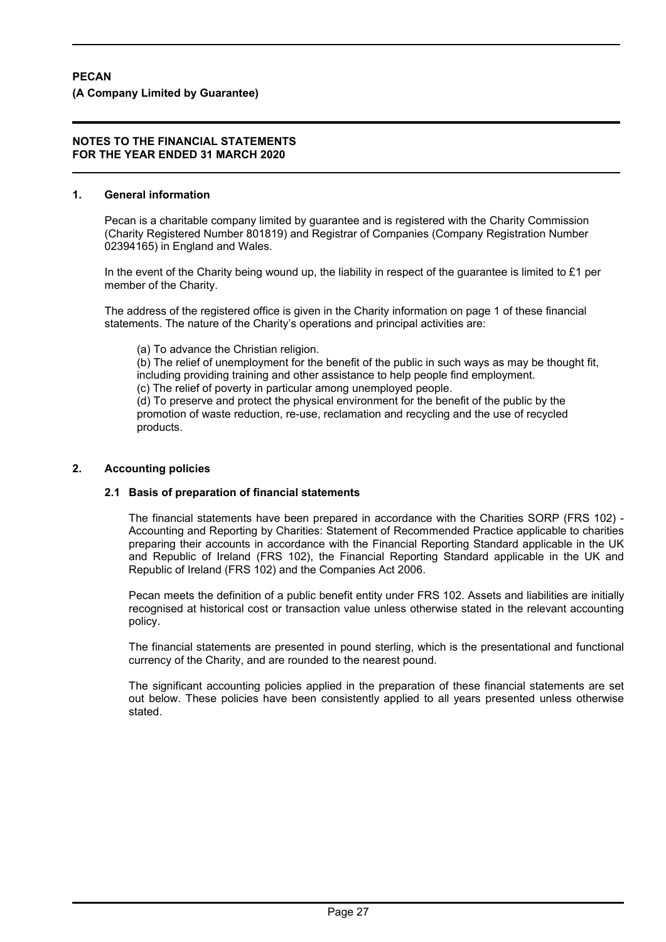#### **1. General information**

Pecan is a charitable company limited by guarantee and is registered with the Charity Commission (Charity Registered Number 801819) and Registrar of Companies (Company Registration Number 02394165) in England and Wales.

In the event of the Charity being wound up, the liability in respect of the guarantee is limited to  $£1$  per member of the Charity.

The address of the registered office is given in the Charity information on page 1 of these financial statements. The nature of the Charity's operations and principal activities are:

(a) To advance the Christian religion.

(b) The relief of unemployment for the benefit of the public in such ways as may be thought fit, including providing training and other assistance to help people find employment.

(c) The relief of poverty in particular among unemployed people.

(d) To preserve and protect the physical environment for the benefit of the public by the promotion of waste reduction, re-use, reclamation and recycling and the use of recycled products.

# **2. Accounting policies**

# **2.1 Basis of preparation of financial statements**

The financial statements have been prepared in accordance with the Charities SORP (FRS 102) - Accounting and Reporting by Charities: Statement of Recommended Practice applicable to charities preparing their accounts in accordance with the Financial Reporting Standard applicable in the UK and Republic of Ireland (FRS 102), the Financial Reporting Standard applicable in the UK and Republic of Ireland (FRS 102) and the Companies Act 2006.

Pecan meets the definition of a public benefit entity under FRS 102. Assets and liabilities are initially recognised at historical cost or transaction value unless otherwise stated in the relevant accounting policy.

The financial statements are presented in pound sterling, which is the presentational and functional currency of the Charity, and are rounded to the nearest pound.

The significant accounting policies applied in the preparation of these financial statements are set out below. These policies have been consistently applied to all years presented unless otherwise stated.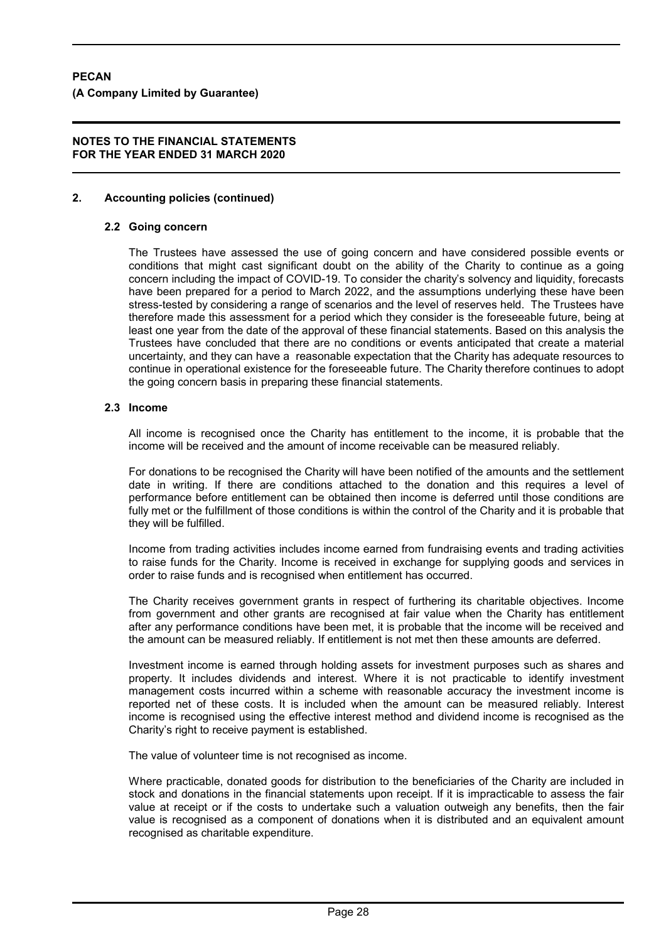## **2. Accounting policies (continued)**

#### **2.2 Going concern**

The Trustees have assessed the use of going concern and have considered possible events or conditions that might cast significant doubt on the ability of the Charity to continue as a going concern including the impact of COVID-19. To consider the charity's solvency and liquidity, forecasts have been prepared for a period to March 2022, and the assumptions underlying these have been stress-tested by considering a range of scenarios and the level of reserves held. The Trustees have therefore made this assessment for a period which they consider is the foreseeable future, being at least one year from the date of the approval of these financial statements. Based on this analysis the Trustees have concluded that there are no conditions or events anticipated that create a material uncertainty, and they can have a reasonable expectation that the Charity has adequate resources to continue in operational existence for the foreseeable future. The Charity therefore continues to adopt the going concern basis in preparing these financial statements.

#### **2.3 Income**

All income is recognised once the Charity has entitlement to the income, it is probable that the income will be received and the amount of income receivable can be measured reliably.

For donations to be recognised the Charity will have been notified of the amounts and the settlement date in writing. If there are conditions attached to the donation and this requires a level of performance before entitlement can be obtained then income is deferred until those conditions are fully met or the fulfillment of those conditions is within the control of the Charity and it is probable that they will be fulfilled.

Income from trading activities includes income earned from fundraising events and trading activities to raise funds for the Charity. Income is received in exchange for supplying goods and services in order to raise funds and is recognised when entitlement has occurred.

The Charity receives government grants in respect of furthering its charitable objectives. Income from government and other grants are recognised at fair value when the Charity has entitlement after any performance conditions have been met, it is probable that the income will be received and the amount can be measured reliably. If entitlement is not met then these amounts are deferred.

Investment income is earned through holding assets for investment purposes such as shares and property. It includes dividends and interest. Where it is not practicable to identify investment management costs incurred within a scheme with reasonable accuracy the investment income is reported net of these costs. It is included when the amount can be measured reliably. Interest income is recognised using the effective interest method and dividend income is recognised as the Charity's right to receive payment is established.

The value of volunteer time is not recognised as income.

Where practicable, donated goods for distribution to the beneficiaries of the Charity are included in stock and donations in the financial statements upon receipt. If it is impracticable to assess the fair value at receipt or if the costs to undertake such a valuation outweigh any benefits, then the fair value is recognised as a component of donations when it is distributed and an equivalent amount recognised as charitable expenditure.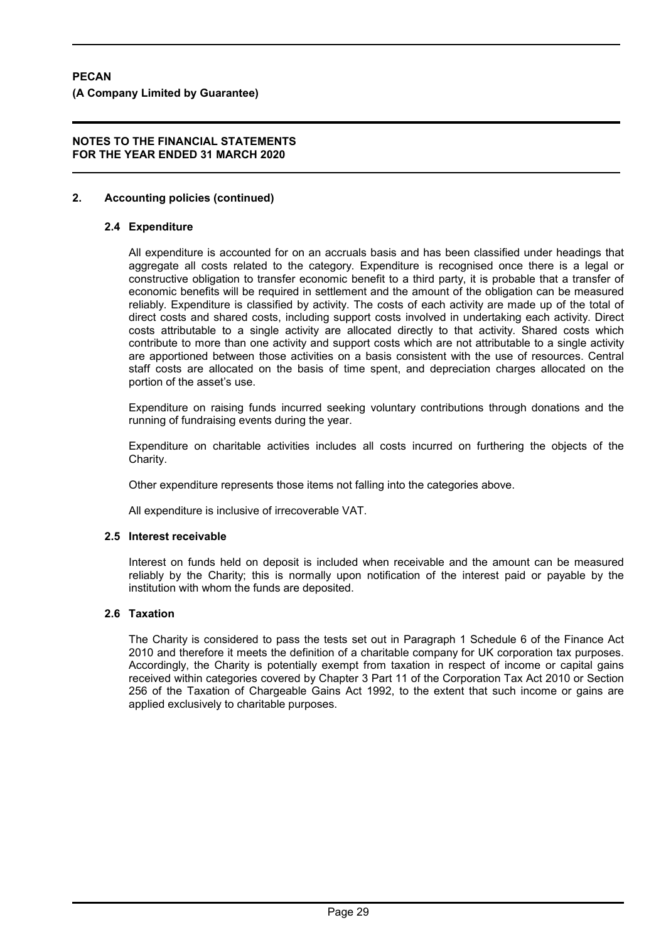## **2. Accounting policies (continued)**

#### **2.4 Expenditure**

All expenditure is accounted for on an accruals basis and has been classified under headings that aggregate all costs related to the category. Expenditure is recognised once there is a legal or constructive obligation to transfer economic benefit to a third party, it is probable that a transfer of economic benefits will be required in settlement and the amount of the obligation can be measured reliably. Expenditure is classified by activity. The costs of each activity are made up of the total of direct costs and shared costs, including support costs involved in undertaking each activity. Direct costs attributable to a single activity are allocated directly to that activity. Shared costs which contribute to more than one activity and support costs which are not attributable to a single activity are apportioned between those activities on a basis consistent with the use of resources. Central staff costs are allocated on the basis of time spent, and depreciation charges allocated on the portion of the asset's use.

Expenditure on raising funds incurred seeking voluntary contributions through donations and the running of fundraising events during the year.

Expenditure on charitable activities includes all costs incurred on furthering the objects of the Charity.

Other expenditure represents those items not falling into the categories above.

All expenditure is inclusive of irrecoverable VAT.

#### **2.5 Interest receivable**

Interest on funds held on deposit is included when receivable and the amount can be measured reliably by the Charity; this is normally upon notification of the interest paid or payable by the institution with whom the funds are deposited.

#### **2.6 Taxation**

The Charity is considered to pass the tests set out in Paragraph 1 Schedule 6 of the Finance Act 2010 and therefore it meets the definition of a charitable company for UK corporation tax purposes. Accordingly, the Charity is potentially exempt from taxation in respect of income or capital gains received within categories covered by Chapter 3 Part 11 of the Corporation Tax Act 2010 or Section 256 of the Taxation of Chargeable Gains Act 1992, to the extent that such income or gains are applied exclusively to charitable purposes.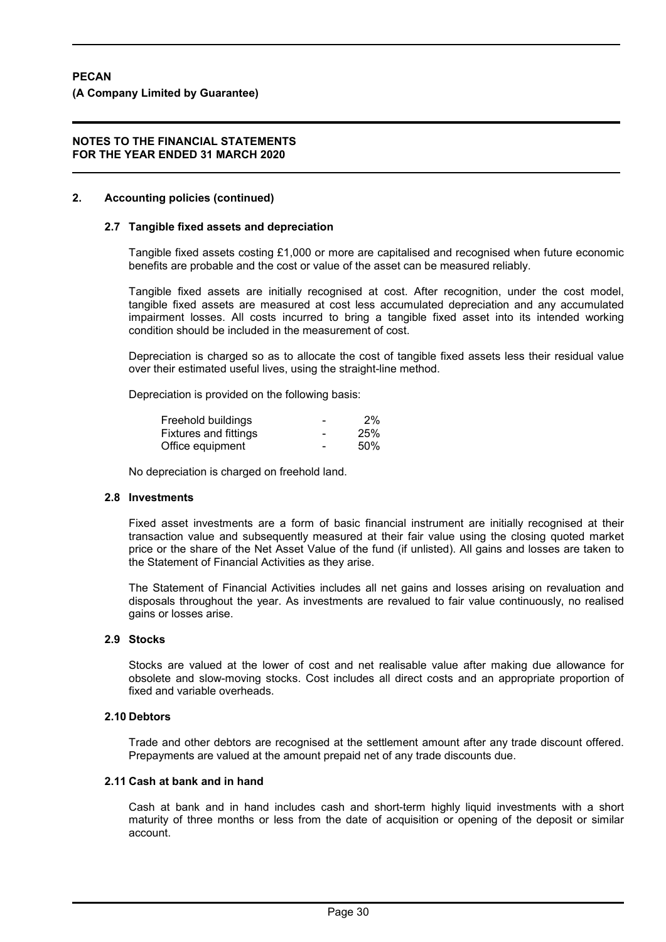#### **2. Accounting policies (continued)**

#### **2.7 Tangible fixed assets and depreciation**

Tangible fixed assets costing £1,000 or more are capitalised and recognised when future economic benefits are probable and the cost or value of the asset can be measured reliably.

Tangible fixed assets are initially recognised at cost. After recognition, under the cost model, tangible fixed assets are measured at cost less accumulated depreciation and any accumulated impairment losses. All costs incurred to bring a tangible fixed asset into its intended working condition should be included in the measurement of cost.

Depreciation is charged so as to allocate the cost of tangible fixed assets less their residual value over their estimated useful lives, using the straight-line method.

Depreciation is provided on the following basis:

| Freehold buildings           | -                        | 2%  |
|------------------------------|--------------------------|-----|
| <b>Fixtures and fittings</b> | $\overline{\phantom{0}}$ | 25% |
| Office equipment             | ٠                        | 50% |

No depreciation is charged on freehold land.

#### **2.8 Investments**

Fixed asset investments are a form of basic financial instrument are initially recognised at their transaction value and subsequently measured at their fair value using the closing quoted market price or the share of the Net Asset Value of the fund (if unlisted). All gains and losses are taken to the Statement of Financial Activities as they arise.

The Statement of Financial Activities includes all net gains and losses arising on revaluation and disposals throughout the year. As investments are revalued to fair value continuously, no realised gains or losses arise.

#### **2.9 Stocks**

Stocks are valued at the lower of cost and net realisable value after making due allowance for obsolete and slow-moving stocks. Cost includes all direct costs and an appropriate proportion of fixed and variable overheads.

#### **2.10 Debtors**

Trade and other debtors are recognised at the settlement amount after any trade discount offered. Prepayments are valued at the amount prepaid net of any trade discounts due.

#### **2.11 Cash at bank and in hand**

Cash at bank and in hand includes cash and short-term highly liquid investments with a short maturity of three months or less from the date of acquisition or opening of the deposit or similar account.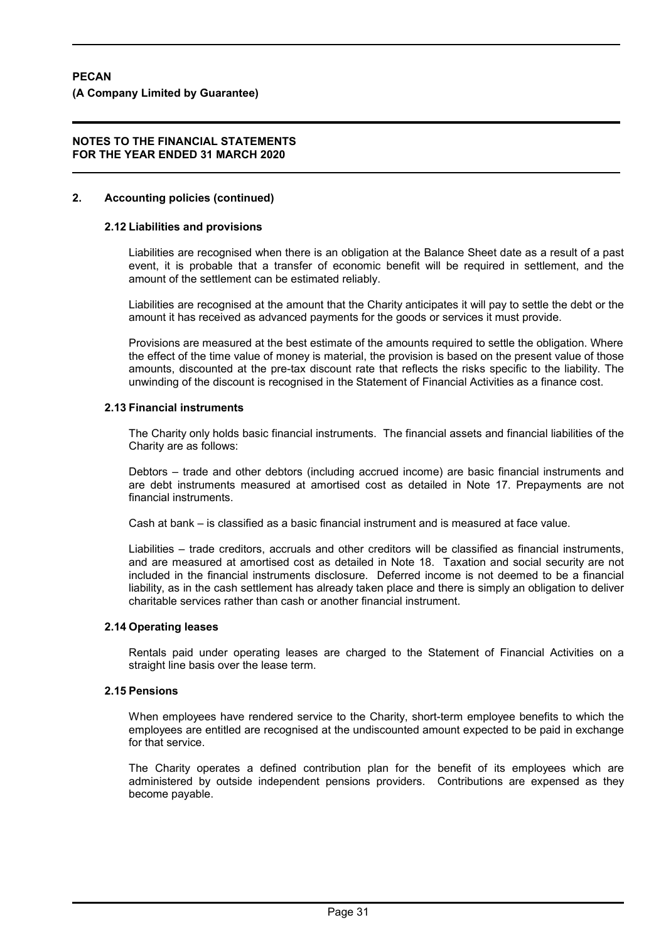#### **2. Accounting policies (continued)**

# **2.12 Liabilities and provisions**

Liabilities are recognised when there is an obligation at the Balance Sheet date as a result of a past event, it is probable that a transfer of economic benefit will be required in settlement, and the amount of the settlement can be estimated reliably.

Liabilities are recognised at the amount that the Charity anticipates it will pay to settle the debt or the amount it has received as advanced payments for the goods or services it must provide.

Provisions are measured at the best estimate of the amounts required to settle the obligation. Where the effect of the time value of money is material, the provision is based on the present value of those amounts, discounted at the pre-tax discount rate that reflects the risks specific to the liability. The unwinding of the discount is recognised in the Statement of Financial Activities as a finance cost.

#### **2.13 Financial instruments**

The Charity only holds basic financial instruments. The financial assets and financial liabilities of the Charity are as follows:

Debtors – trade and other debtors (including accrued income) are basic financial instruments and are debt instruments measured at amortised cost as detailed in Note 17. Prepayments are not financial instruments.

Cash at bank – is classified as a basic financial instrument and is measured at face value.

Liabilities – trade creditors, accruals and other creditors will be classified as financial instruments, and are measured at amortised cost as detailed in Note 18. Taxation and social security are not included in the financial instruments disclosure. Deferred income is not deemed to be a financial liability, as in the cash settlement has already taken place and there is simply an obligation to deliver charitable services rather than cash or another financial instrument.

### **2.14 Operating leases**

Rentals paid under operating leases are charged to the Statement of Financial Activities on a straight line basis over the lease term.

# **2.15 Pensions**

When employees have rendered service to the Charity, short-term employee benefits to which the employees are entitled are recognised at the undiscounted amount expected to be paid in exchange for that service

The Charity operates a defined contribution plan for the benefit of its employees which are administered by outside independent pensions providers. Contributions are expensed as they become payable.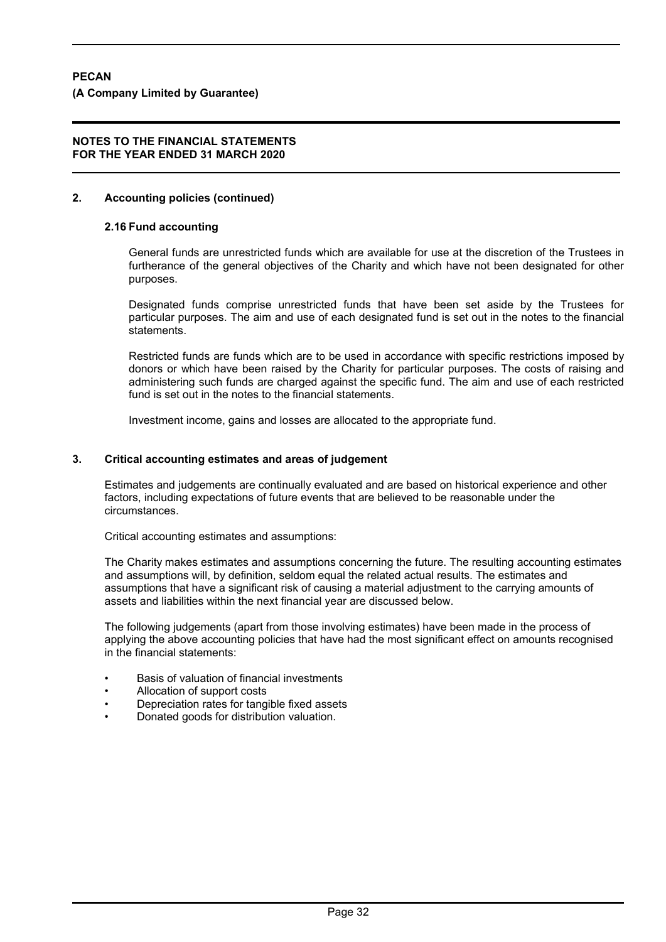## **2. Accounting policies (continued)**

#### **2.16 Fund accounting**

General funds are unrestricted funds which are available for use at the discretion of the Trustees in furtherance of the general objectives of the Charity and which have not been designated for other purposes.

Designated funds comprise unrestricted funds that have been set aside by the Trustees for particular purposes. The aim and use of each designated fund is set out in the notes to the financial statements.

Restricted funds are funds which are to be used in accordance with specific restrictions imposed by donors or which have been raised by the Charity for particular purposes. The costs of raising and administering such funds are charged against the specific fund. The aim and use of each restricted fund is set out in the notes to the financial statements.

Investment income, gains and losses are allocated to the appropriate fund.

#### **3. Critical accounting estimates and areas of judgement**

Estimates and judgements are continually evaluated and are based on historical experience and other factors, including expectations of future events that are believed to be reasonable under the circumstances.

Critical accounting estimates and assumptions:

The Charity makes estimates and assumptions concerning the future. The resulting accounting estimates and assumptions will, by definition, seldom equal the related actual results. The estimates and assumptions that have a significant risk of causing a material adjustment to the carrying amounts of assets and liabilities within the next financial year are discussed below.

The following judgements (apart from those involving estimates) have been made in the process of applying the above accounting policies that have had the most significant effect on amounts recognised in the financial statements:

- Basis of valuation of financial investments
- Allocation of support costs
- Depreciation rates for tangible fixed assets
- Donated goods for distribution valuation.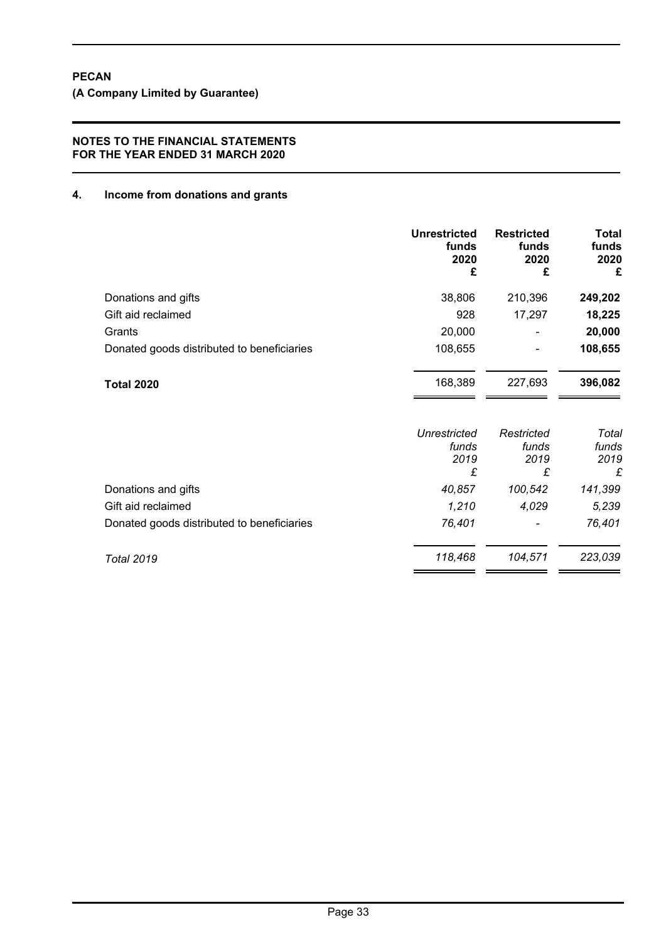**(A Company Limited by Guarantee)**

# **NOTES TO THE FINANCIAL STATEMENTS FOR THE YEAR ENDED 31 MARCH 2020**

# **4. Income from donations and grants**

|                                            | <b>Unrestricted</b><br>funds<br>2020<br>£ | <b>Restricted</b><br>funds<br>2020<br>£ | <b>Total</b><br>funds<br>2020<br>£ |
|--------------------------------------------|-------------------------------------------|-----------------------------------------|------------------------------------|
| Donations and gifts                        | 38,806                                    | 210,396                                 | 249,202                            |
| Gift aid reclaimed                         | 928                                       | 17,297                                  | 18,225                             |
| Grants                                     | 20,000                                    |                                         | 20,000                             |
| Donated goods distributed to beneficiaries | 108,655                                   |                                         | 108,655                            |
| <b>Total 2020</b>                          | 168,389                                   | 227,693                                 | 396,082                            |
|                                            | <b>Unrestricted</b><br>funds<br>2019<br>£ | Restricted<br>funds<br>2019<br>£        | Total<br>funds<br>2019<br>£        |
| Donations and gifts                        | 40,857                                    | 100,542                                 | 141,399                            |
| Gift aid reclaimed                         | 1,210                                     | 4,029                                   | 5,239                              |
| Donated goods distributed to beneficiaries | 76,401                                    |                                         | 76,401                             |
| <b>Total 2019</b>                          | 118,468                                   | 104,571                                 | 223,039                            |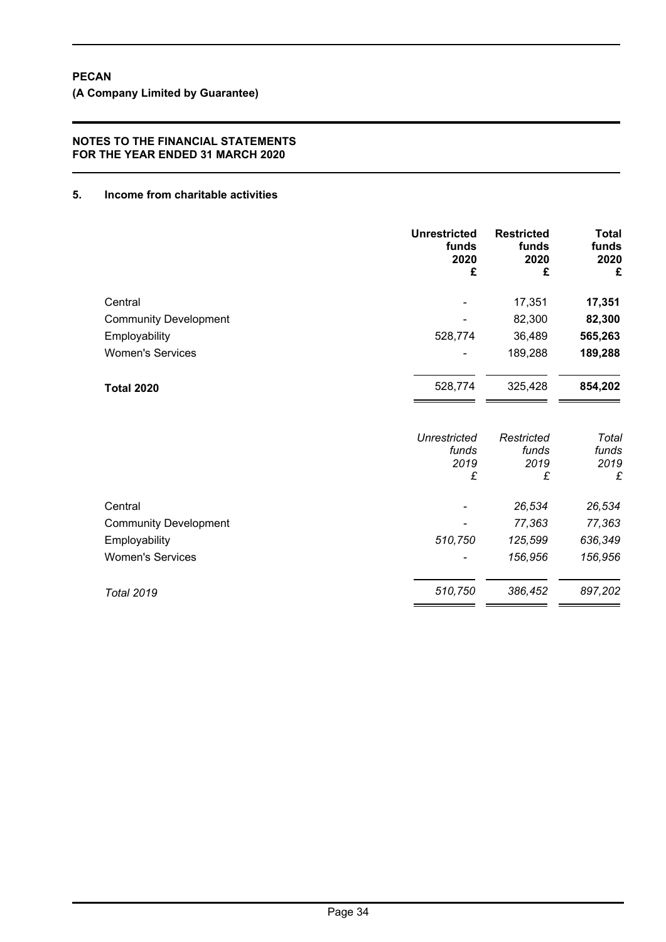**(A Company Limited by Guarantee)**

## **NOTES TO THE FINANCIAL STATEMENTS FOR THE YEAR ENDED 31 MARCH 2020**

# **5. Income from charitable activities**

| <b>Unrestricted</b><br>funds<br>2020<br>£ | <b>Restricted</b><br>funds<br>2020<br>£ | <b>Total</b><br>funds<br>2020<br>£ |
|-------------------------------------------|-----------------------------------------|------------------------------------|
|                                           | 17,351                                  | 17,351                             |
|                                           | 82,300                                  | 82,300                             |
| 528,774                                   | 36,489                                  | 565,263                            |
|                                           | 189,288                                 | 189,288                            |
| 528,774                                   | 325,428                                 | 854,202                            |
| <b>Unrestricted</b>                       | Restricted                              | Total                              |
|                                           |                                         | funds<br>2019                      |
| £                                         | £                                       | £                                  |
|                                           | 26,534                                  | 26,534                             |
|                                           | 77,363                                  | 77,363                             |
| 510,750                                   | 125,599                                 | 636,349                            |
|                                           | 156,956                                 | 156,956                            |
| 510,750                                   | 386,452                                 | 897,202                            |
|                                           | funds<br>2019                           | funds<br>2019                      |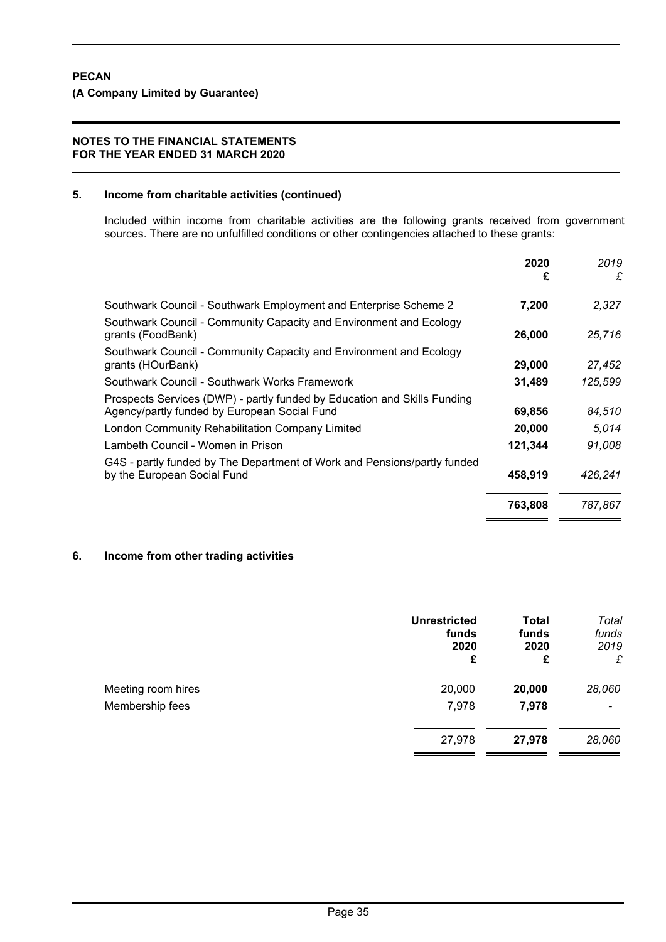#### **5. Income from charitable activities (continued)**

Included within income from charitable activities are the following grants received from government sources. There are no unfulfilled conditions or other contingencies attached to these grants:

|                                                                                                                          | 2020<br>£ | 2019<br>£ |
|--------------------------------------------------------------------------------------------------------------------------|-----------|-----------|
| Southwark Council - Southwark Employment and Enterprise Scheme 2                                                         | 7,200     | 2,327     |
| Southwark Council - Community Capacity and Environment and Ecology<br>grants (FoodBank)                                  | 26,000    | 25,716    |
| Southwark Council - Community Capacity and Environment and Ecology<br>grants (HOurBank)                                  | 29,000    | 27,452    |
| Southwark Council - Southwark Works Framework                                                                            | 31,489    | 125,599   |
| Prospects Services (DWP) - partly funded by Education and Skills Funding<br>Agency/partly funded by European Social Fund | 69,856    | 84,510    |
| London Community Rehabilitation Company Limited                                                                          | 20,000    | 5.014     |
| Lambeth Council - Women in Prison                                                                                        | 121,344   | 91.008    |
| G4S - partly funded by The Department of Work and Pensions/partly funded<br>by the European Social Fund                  | 458,919   | 426,241   |
|                                                                                                                          | 763,808   | 787,867   |

#### **6. Income from other trading activities**

|                    | <b>Unrestricted</b><br>funds<br>2020<br>£ | <b>Total</b><br>funds<br>2020<br>£ | Total<br>funds<br>2019<br>£ |
|--------------------|-------------------------------------------|------------------------------------|-----------------------------|
| Meeting room hires | 20,000                                    | 20,000                             | 28,060                      |
| Membership fees    | 7,978                                     | 7,978                              | $\overline{\phantom{a}}$    |
|                    | 27,978                                    | 27,978                             | 28,060                      |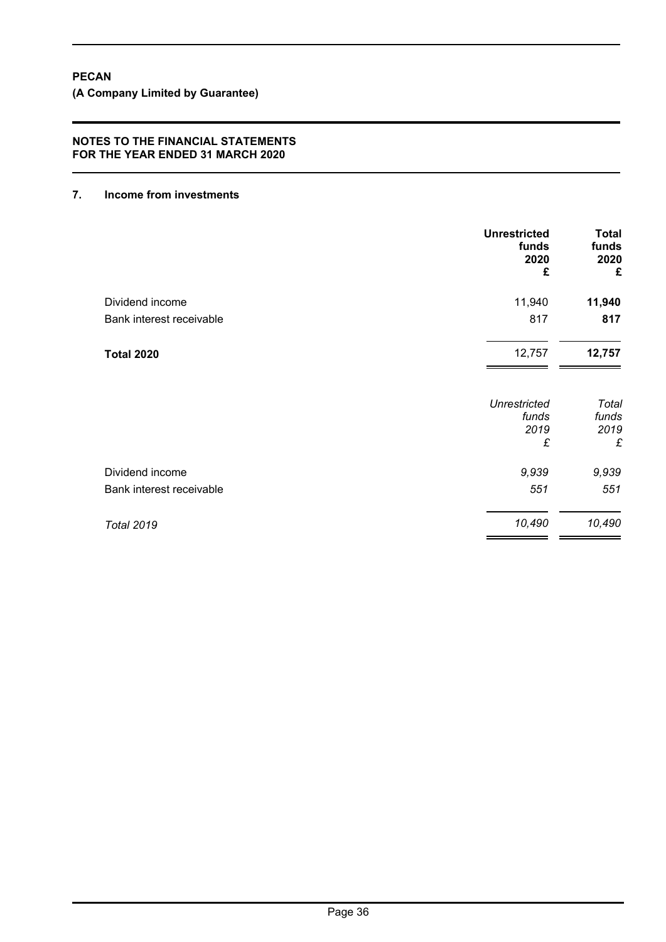**(A Company Limited by Guarantee)**

## **NOTES TO THE FINANCIAL STATEMENTS FOR THE YEAR ENDED 31 MARCH 2020**

# **7. Income from investments**

|                          | <b>Unrestricted</b><br>funds<br>2020<br>£ | <b>Total</b><br>funds<br>2020<br>£ |
|--------------------------|-------------------------------------------|------------------------------------|
| Dividend income          | 11,940                                    | 11,940                             |
| Bank interest receivable | 817                                       | 817                                |
| <b>Total 2020</b>        | 12,757                                    | 12,757                             |
|                          | <b>Unrestricted</b><br>funds              | Total<br>funds                     |
|                          | 2019<br>£                                 | 2019<br>£                          |
| Dividend income          | 9,939                                     | 9,939                              |
| Bank interest receivable | 551                                       | 551                                |
| <b>Total 2019</b>        | 10,490                                    | 10,490                             |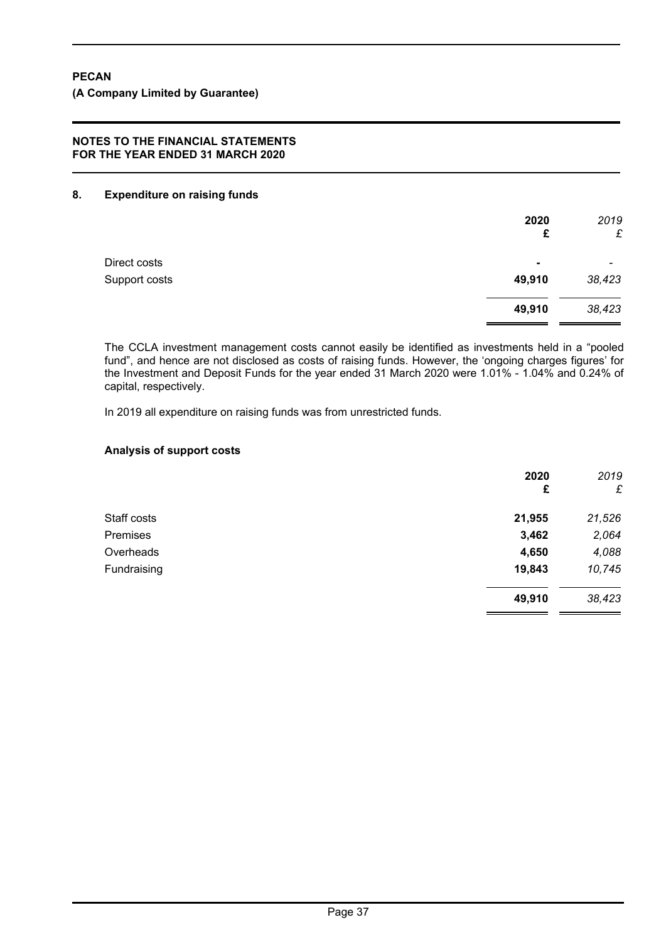## **8. Expenditure on raising funds**

|               | 2020<br>£      | 2019<br>£                |
|---------------|----------------|--------------------------|
| Direct costs  | $\blacksquare$ | $\overline{\phantom{0}}$ |
| Support costs | 49,910         | 38,423                   |
|               | 49,910         | 38,423                   |

The CCLA investment management costs cannot easily be identified as investments held in a "pooled fund", and hence are not disclosed as costs of raising funds. However, the 'ongoing charges figures' for the Investment and Deposit Funds for the year ended 31 March 2020 were 1.01% - 1.04% and 0.24% of capital, respectively.

In 2019 all expenditure on raising funds was from unrestricted funds.

# **Analysis of support costs**

|             | 2020<br>£ | 2019<br>£ |
|-------------|-----------|-----------|
| Staff costs | 21,955    | 21,526    |
| Premises    | 3,462     | 2,064     |
| Overheads   | 4,650     | 4,088     |
| Fundraising | 19,843    | 10,745    |
|             | 49,910    | 38,423    |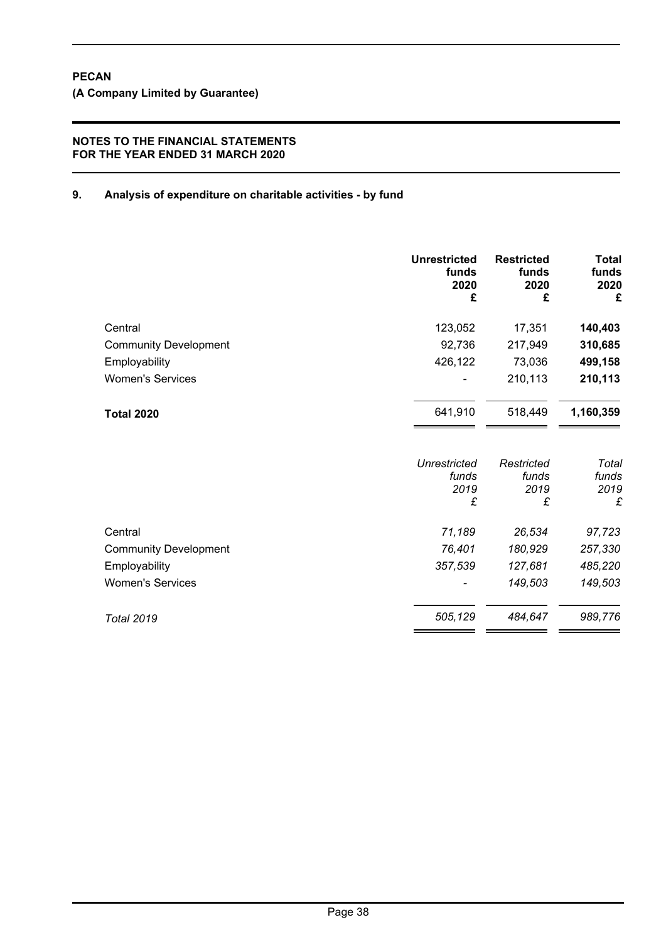# **9. Analysis of expenditure on charitable activities - by fund**

|                              | <b>Unrestricted</b><br>funds<br>2020<br>£ | <b>Restricted</b><br>funds<br>2020<br>£ | <b>Total</b><br>funds<br>2020<br>£ |
|------------------------------|-------------------------------------------|-----------------------------------------|------------------------------------|
| Central                      | 123,052                                   | 17,351                                  | 140,403                            |
| <b>Community Development</b> | 92,736                                    | 217,949                                 | 310,685                            |
| Employability                | 426,122                                   | 73,036                                  | 499,158                            |
| <b>Women's Services</b>      |                                           | 210,113                                 | 210,113                            |
| <b>Total 2020</b>            | 641,910                                   | 518,449                                 | 1,160,359                          |
|                              | Unrestricted<br>funds<br>2019<br>£        | Restricted<br>funds<br>2019<br>£        | Total<br>funds<br>2019<br>£        |
| Central                      | 71,189                                    | 26,534                                  | 97,723                             |
| <b>Community Development</b> | 76,401                                    | 180,929                                 | 257,330                            |
| Employability                | 357,539                                   | 127,681                                 | 485,220                            |
| <b>Women's Services</b>      |                                           | 149,503                                 | 149,503                            |
| <b>Total 2019</b>            | 505,129                                   | 484,647                                 | 989,776                            |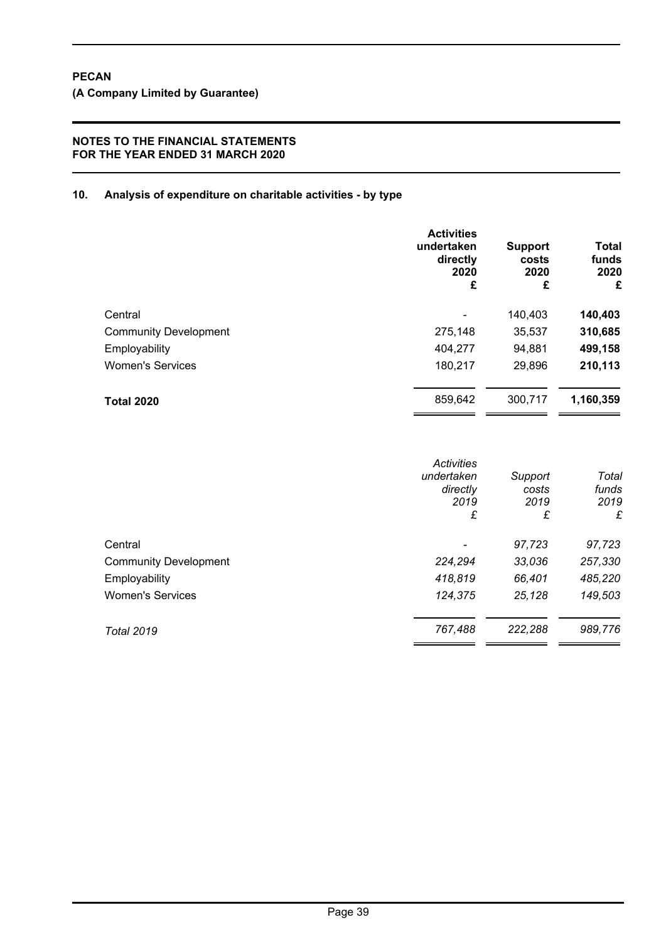# **10. Analysis of expenditure on charitable activities - by type**

|                              | <b>Activities</b><br>undertaken<br>directly<br>2020<br>£ | <b>Support</b><br>costs<br>2020<br>£ | Total<br>funds<br>2020<br>£ |
|------------------------------|----------------------------------------------------------|--------------------------------------|-----------------------------|
| Central                      |                                                          | 140,403                              | 140,403                     |
| <b>Community Development</b> | 275,148                                                  | 35,537                               | 310,685                     |
| Employability                | 404,277                                                  | 94.881                               | 499,158                     |
| <b>Women's Services</b>      | 180,217                                                  | 29,896                               | 210,113                     |
| <b>Total 2020</b>            | 859,642                                                  | 300,717                              | 1,160,359                   |

|                              | <b>Activities</b><br>undertaken<br>directly<br>2019<br>£ | Support<br>costs<br>2019<br>£ | Total<br>funds<br>2019<br>£ |
|------------------------------|----------------------------------------------------------|-------------------------------|-----------------------------|
| Central                      |                                                          | 97,723                        | 97,723                      |
| <b>Community Development</b> | 224,294                                                  | 33,036                        | 257,330                     |
| Employability                | 418,819                                                  | 66,401                        | 485,220                     |
| <b>Women's Services</b>      | 124,375                                                  | 25,128                        | 149,503                     |
| <b>Total 2019</b>            | 767,488                                                  | 222,288                       | 989,776                     |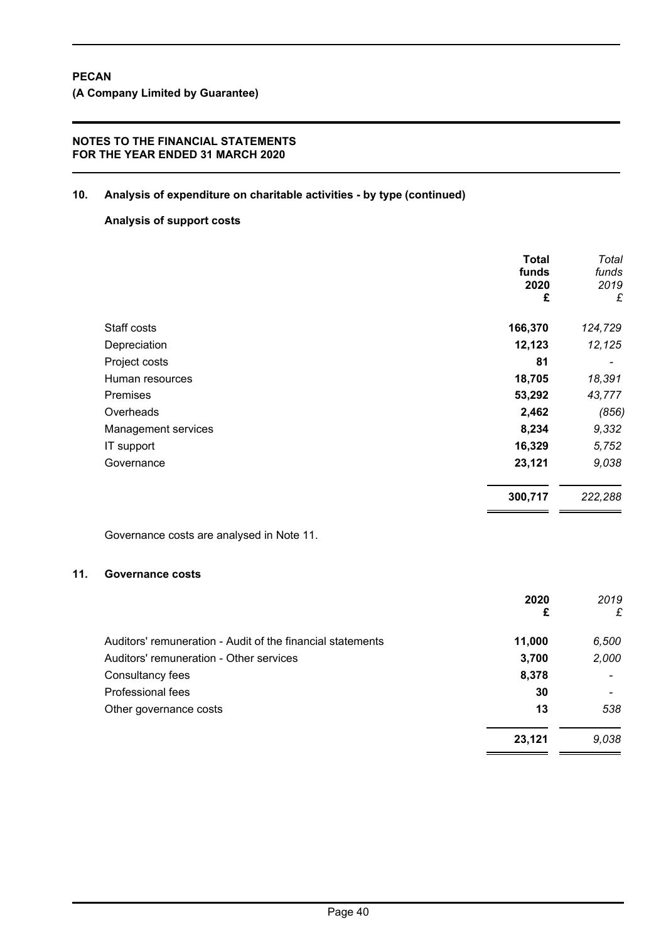# **10. Analysis of expenditure on charitable activities - by type (continued)**

# **Analysis of support costs**

|                     | Total<br>funds<br>2020<br>£ | Total<br>funds<br>2019<br>£ |
|---------------------|-----------------------------|-----------------------------|
| Staff costs         | 166,370                     | 124,729                     |
| Depreciation        | 12,123                      | 12,125                      |
| Project costs       | 81                          |                             |
| Human resources     | 18,705                      | 18,391                      |
| <b>Premises</b>     | 53,292                      | 43,777                      |
| Overheads           | 2,462                       | (856)                       |
| Management services | 8,234                       | 9,332                       |
| IT support          | 16,329                      | 5,752                       |
| Governance          | 23,121                      | 9,038                       |
|                     | 300,717                     | 222,288                     |

Governance costs are analysed in Note 11.

# **11. Governance costs**

|                                                            | 2020<br>£ | 2019<br>£ |
|------------------------------------------------------------|-----------|-----------|
| Auditors' remuneration - Audit of the financial statements | 11,000    | 6,500     |
| Auditors' remuneration - Other services                    | 3,700     | 2,000     |
| Consultancy fees                                           | 8,378     |           |
| Professional fees                                          | 30        |           |
| Other governance costs                                     | 13        | 538       |
|                                                            | 23,121    | 9,038     |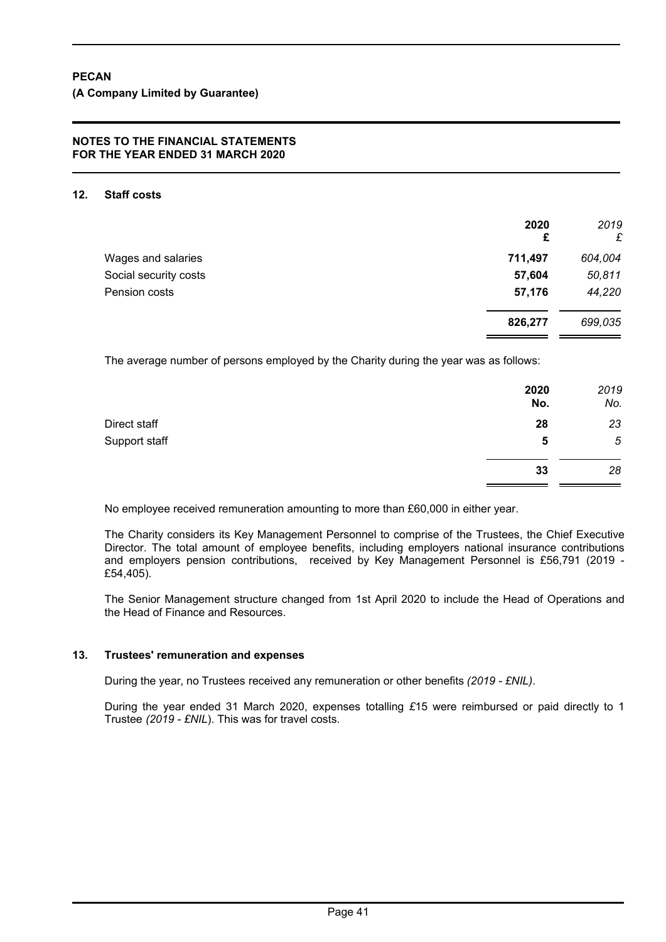#### **12. Staff costs**

|                       | 2020<br>£ | 2019<br>£ |
|-----------------------|-----------|-----------|
| Wages and salaries    | 711,497   | 604,004   |
| Social security costs | 57,604    | 50,811    |
| Pension costs         | 57,176    | 44,220    |
|                       | 826,277   | 699,035   |

The average number of persons employed by the Charity during the year was as follows:

|               | 2020<br>No. | 2019<br>No. |
|---------------|-------------|-------------|
| Direct staff  | 28          | 23          |
| Support staff | 5           | $\sqrt{5}$  |
|               | 33          | 28          |

No employee received remuneration amounting to more than £60,000 in either year.

The Charity considers its Key Management Personnel to comprise of the Trustees, the Chief Executive Director. The total amount of employee benefits, including employers national insurance contributions and employers pension contributions, received by Key Management Personnel is £56,791 (2019 - £54,405).

The Senior Management structure changed from 1st April 2020 to include the Head of Operations and the Head of Finance and Resources.

#### **13. Trustees' remuneration and expenses**

During the year, no Trustees received any remuneration or other benefits *(2019 - £NIL)*.

During the year ended 31 March 2020, expenses totalling *£*15 were reimbursed or paid directly to 1 Trustee *(2019 - £NIL*). This was for travel costs.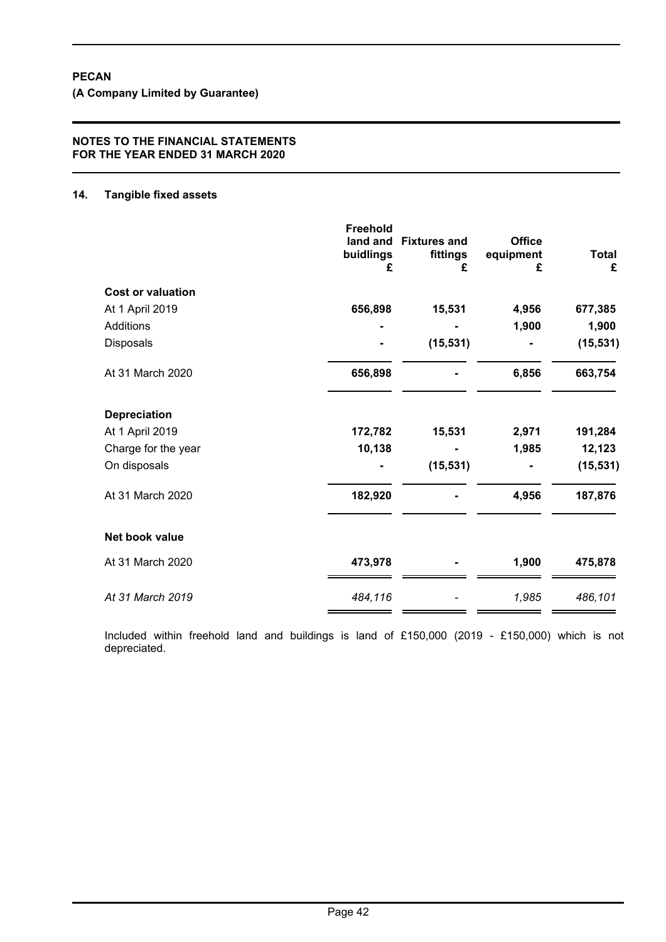**(A Company Limited by Guarantee)**

### **NOTES TO THE FINANCIAL STATEMENTS FOR THE YEAR ENDED 31 MARCH 2020**

#### **14. Tangible fixed assets**

|                          | <b>Freehold</b><br>buidlings<br>£ | land and Fixtures and<br>fittings<br>£ | <b>Office</b><br>equipment<br>£ | <b>Total</b><br>£ |
|--------------------------|-----------------------------------|----------------------------------------|---------------------------------|-------------------|
| <b>Cost or valuation</b> |                                   |                                        |                                 |                   |
| At 1 April 2019          | 656,898                           | 15,531                                 | 4,956                           | 677,385           |
| <b>Additions</b>         |                                   |                                        | 1,900                           | 1,900             |
| Disposals                |                                   | (15, 531)                              |                                 | (15, 531)         |
| At 31 March 2020         | 656,898                           |                                        | 6,856                           | 663,754           |
| <b>Depreciation</b>      |                                   |                                        |                                 |                   |
| At 1 April 2019          | 172,782                           | 15,531                                 | 2,971                           | 191,284           |
| Charge for the year      | 10,138                            |                                        | 1,985                           | 12,123            |
| On disposals             |                                   | (15, 531)                              |                                 | (15, 531)         |
| At 31 March 2020         | 182,920                           |                                        | 4,956                           | 187,876           |
| Net book value           |                                   |                                        |                                 |                   |
| At 31 March 2020         | 473,978                           |                                        | 1,900                           | 475,878           |
| At 31 March 2019         | 484,116                           |                                        | 1,985                           | 486,101           |

Included within freehold land and buildings is land of £150,000 (2019 - £150,000) which is not depreciated.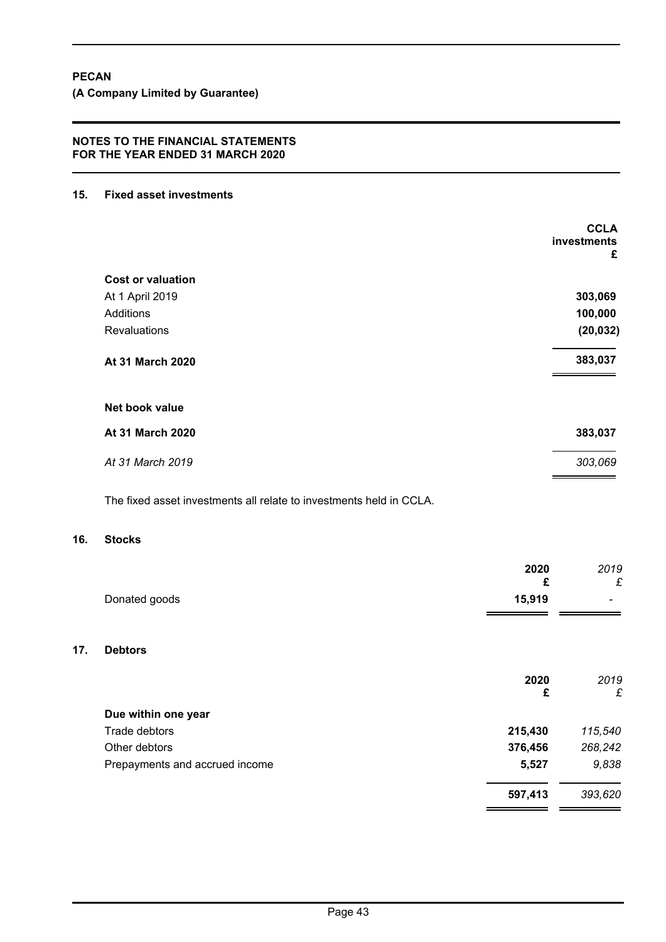#### **15. Fixed asset investments**

|                          | <b>CCLA</b><br>investments<br>£ |
|--------------------------|---------------------------------|
| <b>Cost or valuation</b> |                                 |
| At 1 April 2019          | 303,069                         |
| Additions                | 100,000                         |
| <b>Revaluations</b>      | (20, 032)                       |
| At 31 March 2020         | 383,037                         |
| Net book value           |                                 |
| At 31 March 2020         | 383,037                         |
| At 31 March 2019         | 303,069                         |

The fixed asset investments all relate to investments held in CCLA.

#### **16. Stocks**

|     |                                | 2020<br>£ | 2019<br>£ |
|-----|--------------------------------|-----------|-----------|
|     | Donated goods                  | 15,919    |           |
| 17. | <b>Debtors</b>                 |           |           |
|     |                                | 2020<br>£ | 2019<br>£ |
|     | Due within one year            |           |           |
|     | Trade debtors                  | 215,430   | 115,540   |
|     | Other debtors                  | 376,456   | 268,242   |
|     | Prepayments and accrued income | 5,527     | 9,838     |
|     |                                | 597,413   | 393,620   |
|     |                                |           |           |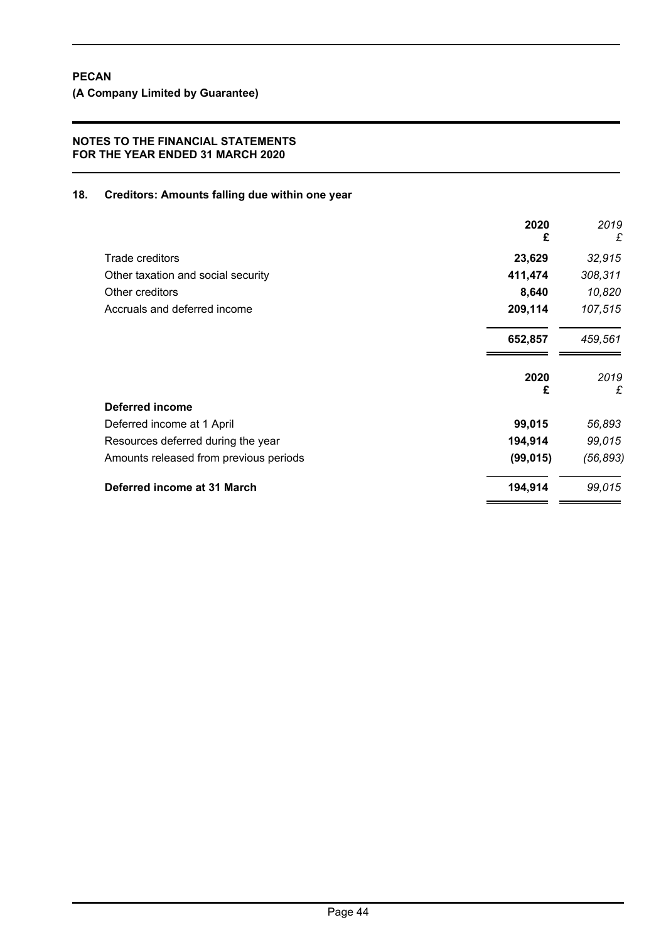# **18. Creditors: Amounts falling due within one year**

|                                        | 2020<br>£ | 2019<br>£ |
|----------------------------------------|-----------|-----------|
| Trade creditors                        | 23,629    | 32,915    |
| Other taxation and social security     | 411,474   | 308,311   |
| Other creditors                        | 8,640     | 10,820    |
| Accruals and deferred income           | 209,114   | 107,515   |
|                                        | 652,857   | 459,561   |
|                                        | 2020<br>£ | 2019<br>£ |
| <b>Deferred income</b>                 |           |           |
| Deferred income at 1 April             | 99,015    | 56,893    |
| Resources deferred during the year     | 194,914   | 99,015    |
| Amounts released from previous periods | (99, 015) | (56, 893) |
| Deferred income at 31 March            | 194,914   | 99,015    |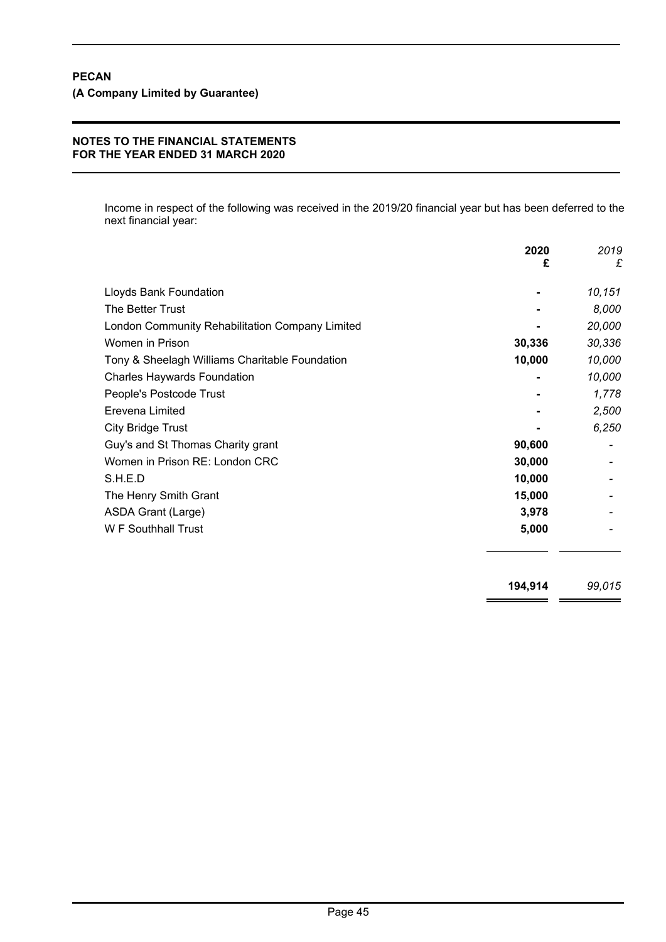Income in respect of the following was received in the 2019/20 financial year but has been deferred to the next financial year:

|                                                 | 2020   | 2019   |
|-------------------------------------------------|--------|--------|
|                                                 | £      | £      |
| Lloyds Bank Foundation                          |        | 10,151 |
| The Better Trust                                |        | 8,000  |
| London Community Rehabilitation Company Limited |        | 20,000 |
| Women in Prison                                 | 30,336 | 30,336 |
| Tony & Sheelagh Williams Charitable Foundation  | 10,000 | 10,000 |
| <b>Charles Haywards Foundation</b>              |        | 10,000 |
| People's Postcode Trust                         |        | 1,778  |
| Erevena Limited                                 |        | 2,500  |
| <b>City Bridge Trust</b>                        |        | 6,250  |
| Guy's and St Thomas Charity grant               | 90,600 |        |
| Women in Prison RE: London CRC                  | 30,000 |        |
| S.H.E.D                                         | 10,000 |        |
| The Henry Smith Grant                           | 15,000 |        |
| ASDA Grant (Large)                              | 3,978  |        |
| <b>W</b> F Southhall Trust                      | 5,000  |        |

**194,914** *99,015*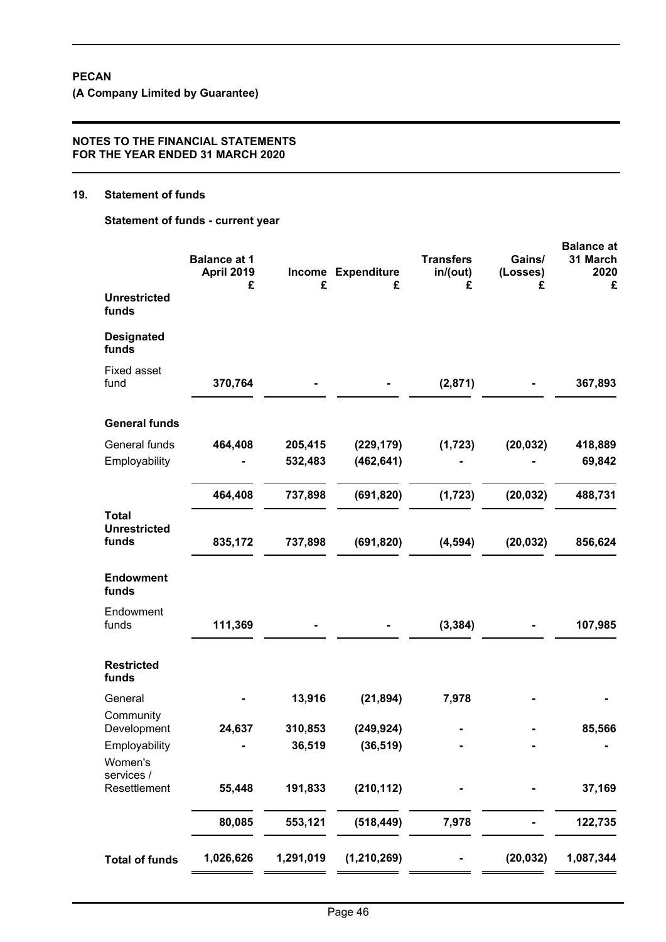**(A Company Limited by Guarantee)**

#### **NOTES TO THE FINANCIAL STATEMENTS FOR THE YEAR ENDED 31 MARCH 2020**

#### **19. Statement of funds**

**Statement of funds - current year**

|                                              | <b>Balance at 1</b><br><b>April 2019</b><br>£ | £         | Income Expenditure<br>£ | <b>Transfers</b><br>in/(out)<br>£ | Gains/<br>(Losses)<br>£ | <b>Balance at</b><br>31 March<br>2020<br>£ |
|----------------------------------------------|-----------------------------------------------|-----------|-------------------------|-----------------------------------|-------------------------|--------------------------------------------|
| <b>Unrestricted</b><br>funds                 |                                               |           |                         |                                   |                         |                                            |
| <b>Designated</b><br>funds                   |                                               |           |                         |                                   |                         |                                            |
| <b>Fixed asset</b><br>fund                   | 370,764                                       |           |                         | (2,871)                           |                         | 367,893                                    |
| <b>General funds</b>                         |                                               |           |                         |                                   |                         |                                            |
| General funds                                | 464,408                                       | 205,415   | (229, 179)              | (1, 723)                          | (20, 032)               | 418,889                                    |
| Employability                                |                                               | 532,483   | (462, 641)              |                                   |                         | 69,842                                     |
|                                              | 464,408                                       | 737,898   | (691, 820)              | (1, 723)                          | (20, 032)               | 488,731                                    |
| <b>Total</b><br><b>Unrestricted</b><br>funds | 835,172                                       | 737,898   | (691, 820)              | (4, 594)                          | (20, 032)               | 856,624                                    |
| <b>Endowment</b><br>funds                    |                                               |           |                         |                                   |                         |                                            |
|                                              |                                               |           |                         |                                   |                         |                                            |
| Endowment<br>funds                           | 111,369                                       |           |                         | (3, 384)                          |                         | 107,985                                    |
| <b>Restricted</b><br>funds                   |                                               |           |                         |                                   |                         |                                            |
| General                                      |                                               | 13,916    | (21, 894)               | 7,978                             |                         |                                            |
| Community<br>Development                     | 24,637                                        | 310,853   | (249, 924)              |                                   |                         | 85,566                                     |
| Employability<br>Women's                     |                                               | 36,519    | (36, 519)               |                                   |                         |                                            |
| services /<br>Resettlement                   | 55,448                                        | 191,833   | (210, 112)              |                                   |                         | 37,169                                     |
|                                              | 80,085                                        | 553,121   | (518, 449)              | 7,978                             |                         | 122,735                                    |
| <b>Total of funds</b>                        | 1,026,626                                     | 1,291,019 | (1, 210, 269)           |                                   | (20, 032)               | 1,087,344                                  |
|                                              |                                               |           |                         |                                   |                         |                                            |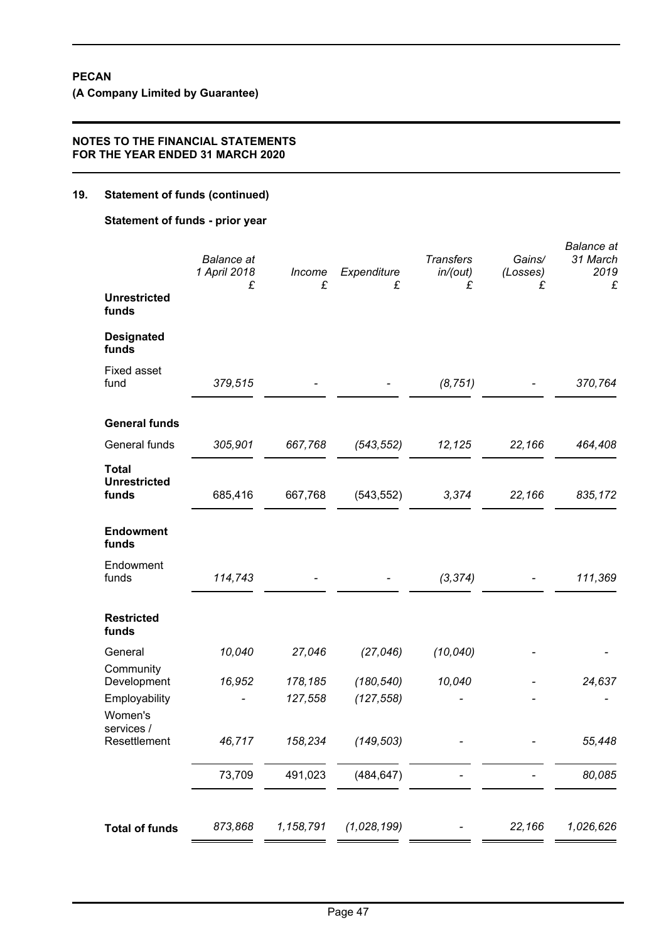**(A Company Limited by Guarantee)**

## **NOTES TO THE FINANCIAL STATEMENTS FOR THE YEAR ENDED 31 MARCH 2020**

# **19. Statement of funds (continued)**

**Statement of funds - prior year**

|                                              | <b>Balance</b> at<br>1 April 2018<br>£ | Income<br>£ | Expenditure<br>£ | <b>Transfers</b><br>in/(out)<br>£ | Gains/<br>(Losses)<br>£ | <b>Balance</b> at<br>31 March<br>2019<br>£ |
|----------------------------------------------|----------------------------------------|-------------|------------------|-----------------------------------|-------------------------|--------------------------------------------|
| <b>Unrestricted</b><br>funds                 |                                        |             |                  |                                   |                         |                                            |
| <b>Designated</b><br>funds                   |                                        |             |                  |                                   |                         |                                            |
| <b>Fixed asset</b><br>fund                   | 379,515                                |             |                  | (8, 751)                          |                         | 370,764                                    |
| <b>General funds</b>                         |                                        |             |                  |                                   |                         |                                            |
| General funds                                | 305,901                                | 667,768     | (543, 552)       | 12,125                            | 22,166                  | 464,408                                    |
| <b>Total</b><br><b>Unrestricted</b><br>funds | 685,416                                | 667,768     | (543, 552)       | 3,374                             | 22,166                  | 835,172                                    |
| <b>Endowment</b><br>funds                    |                                        |             |                  |                                   |                         |                                            |
| Endowment<br>funds                           | 114,743                                |             |                  | (3, 374)                          |                         | 111,369                                    |
| <b>Restricted</b><br>funds                   |                                        |             |                  |                                   |                         |                                            |
| General                                      | 10,040                                 | 27,046      | (27, 046)        | (10, 040)                         |                         |                                            |
| Community<br>Development                     | 16,952                                 | 178,185     | (180, 540)       | 10,040                            |                         | 24,637                                     |
| Employability<br>Women's<br>services /       |                                        | 127,558     | (127, 558)       |                                   |                         |                                            |
| Resettlement                                 | 46,717                                 | 158,234     | (149, 503)       |                                   |                         | 55,448                                     |
|                                              | 73,709                                 | 491,023     | (484, 647)       |                                   |                         | 80,085                                     |
| <b>Total of funds</b>                        | 873,868                                | 1,158,791   | (1,028,199)      |                                   | 22,166                  | 1,026,626                                  |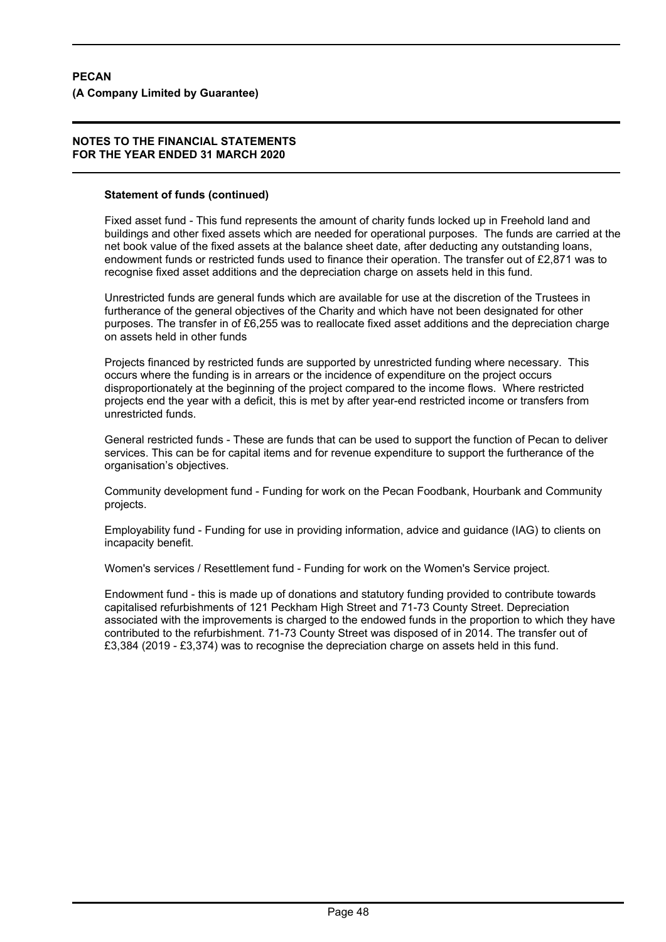#### **Statement of funds (continued)**

Fixed asset fund - This fund represents the amount of charity funds locked up in Freehold land and buildings and other fixed assets which are needed for operational purposes. The funds are carried at the net book value of the fixed assets at the balance sheet date, after deducting any outstanding loans, endowment funds or restricted funds used to finance their operation. The transfer out of £2,871 was to recognise fixed asset additions and the depreciation charge on assets held in this fund.

Unrestricted funds are general funds which are available for use at the discretion of the Trustees in furtherance of the general objectives of the Charity and which have not been designated for other purposes. The transfer in of £6,255 was to reallocate fixed asset additions and the depreciation charge on assets held in other funds

Projects financed by restricted funds are supported by unrestricted funding where necessary. This occurs where the funding is in arrears or the incidence of expenditure on the project occurs disproportionately at the beginning of the project compared to the income flows. Where restricted projects end the year with a deficit, this is met by after year-end restricted income or transfers from unrestricted funds.

General restricted funds - These are funds that can be used to support the function of Pecan to deliver services. This can be for capital items and for revenue expenditure to support the furtherance of the organisation's objectives.

Community development fund - Funding for work on the Pecan Foodbank, Hourbank and Community projects.

Employability fund - Funding for use in providing information, advice and guidance (IAG) to clients on incapacity benefit.

Women's services / Resettlement fund - Funding for work on the Women's Service project.

Endowment fund - this is made up of donations and statutory funding provided to contribute towards capitalised refurbishments of 121 Peckham High Street and 71-73 County Street. Depreciation associated with the improvements is charged to the endowed funds in the proportion to which they have contributed to the refurbishment. 71-73 County Street was disposed of in 2014. The transfer out of £3,384 (2019 - £3,374) was to recognise the depreciation charge on assets held in this fund.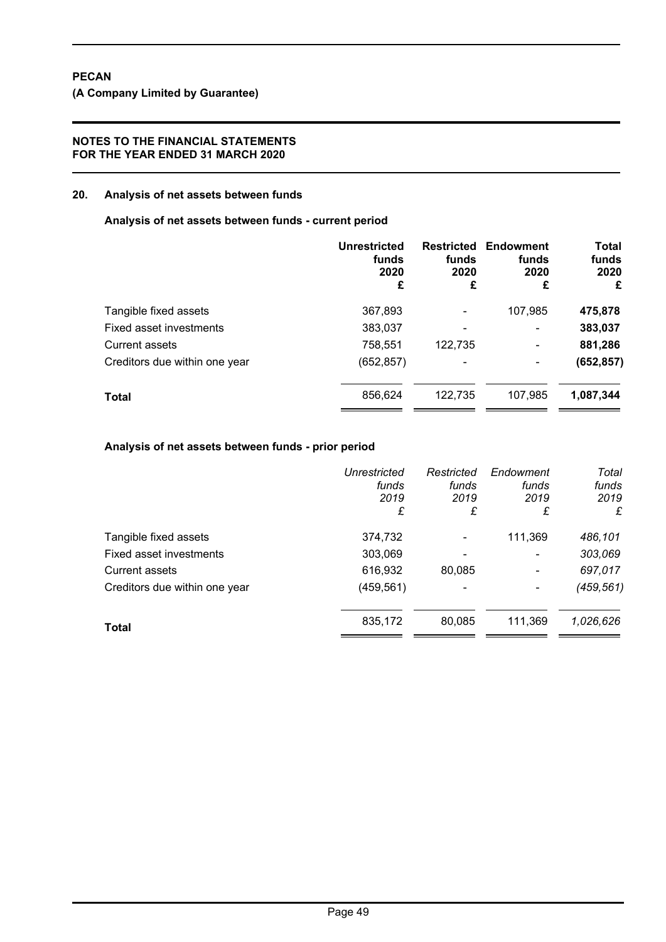#### **20. Analysis of net assets between funds**

**Analysis of net assets between funds - current period**

|                               | <b>Unrestricted</b><br>funds<br>2020<br>£ | <b>Restricted</b><br>funds<br>2020<br>£ | Endowment<br>funds<br>2020<br>£ | <b>Total</b><br>funds<br>2020<br>£ |
|-------------------------------|-------------------------------------------|-----------------------------------------|---------------------------------|------------------------------------|
| Tangible fixed assets         | 367,893                                   | -                                       | 107,985                         | 475,878                            |
| Fixed asset investments       | 383,037                                   |                                         | $\overline{a}$                  | 383,037                            |
| <b>Current assets</b>         | 758,551                                   | 122,735                                 | $\blacksquare$                  | 881,286                            |
| Creditors due within one year | (652, 857)                                | -                                       | ۰                               | (652, 857)                         |
| <b>Total</b>                  | 856,624                                   | 122,735                                 | 107,985                         | 1,087,344                          |

#### **Analysis of net assets between funds - prior period**

|                               | Unrestricted<br>funds<br>2019<br>£ | Restricted<br>funds<br>2019<br>£ | Endowment<br>funds<br>2019<br>£ | Total<br>funds<br>2019<br>£ |
|-------------------------------|------------------------------------|----------------------------------|---------------------------------|-----------------------------|
| Tangible fixed assets         | 374,732                            |                                  | 111,369                         | 486,101                     |
| Fixed asset investments       | 303,069                            |                                  | $\blacksquare$                  | 303,069                     |
| Current assets                | 616,932                            | 80,085                           | $\blacksquare$                  | 697,017                     |
| Creditors due within one year | (459, 561)                         |                                  | ٠                               | (459, 561)                  |
| <b>Total</b>                  | 835,172                            | 80,085                           | 111,369                         | 1,026,626                   |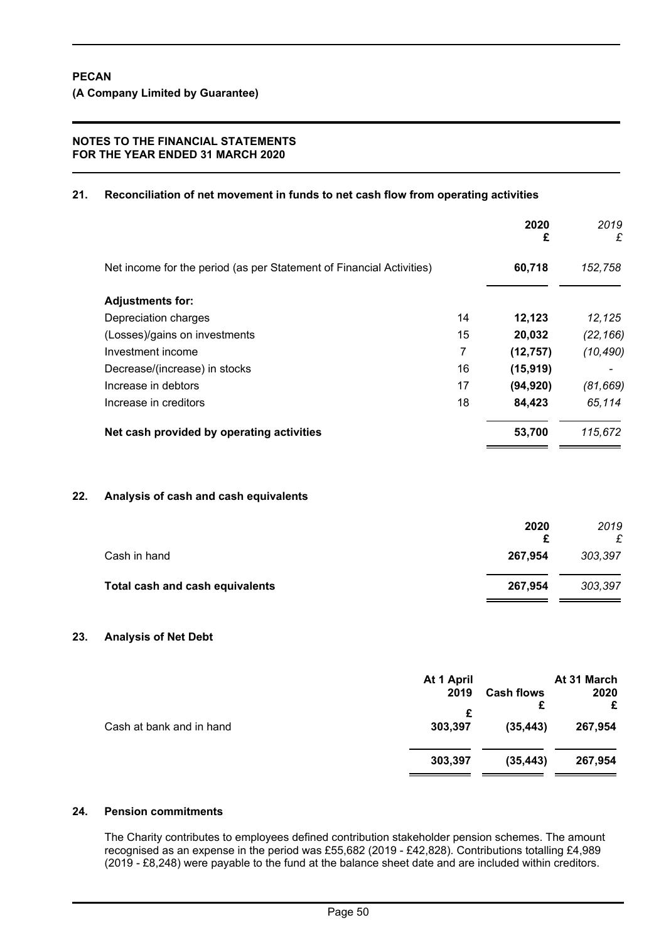# **21. Reconciliation of net movement in funds to net cash flow from operating activities**

| 60,718<br>152,758<br>12,123<br>12,125<br>20,032<br>(22, 166)<br>(12, 757)<br>(10, 490)<br>(15, 919)<br>(94, 920)<br>(81, 669)<br>65,114<br>84,423<br>53,700<br>115,672 |
|------------------------------------------------------------------------------------------------------------------------------------------------------------------------|
|                                                                                                                                                                        |
|                                                                                                                                                                        |
|                                                                                                                                                                        |
|                                                                                                                                                                        |
|                                                                                                                                                                        |
|                                                                                                                                                                        |
|                                                                                                                                                                        |
|                                                                                                                                                                        |
|                                                                                                                                                                        |
|                                                                                                                                                                        |
| 2020<br>2019<br>£<br>£                                                                                                                                                 |
| 267,954<br>303,397                                                                                                                                                     |
| 267,954<br>303,397                                                                                                                                                     |
|                                                                                                                                                                        |

# **23. Analysis of Net Debt**

|                          | At 1 April<br>2019<br>£ | <b>Cash flows</b><br>£ | At 31 March<br>2020<br>£ |
|--------------------------|-------------------------|------------------------|--------------------------|
| Cash at bank and in hand | 303,397                 | (35, 443)              | 267,954                  |
|                          | 303,397                 | (35, 443)              | 267,954                  |

# **24. Pension commitments**

The Charity contributes to employees defined contribution stakeholder pension schemes. The amount recognised as an expense in the period was £55,682 (2019 - £42,828). Contributions totalling £4,989 (2019 - £8,248) were payable to the fund at the balance sheet date and are included within creditors.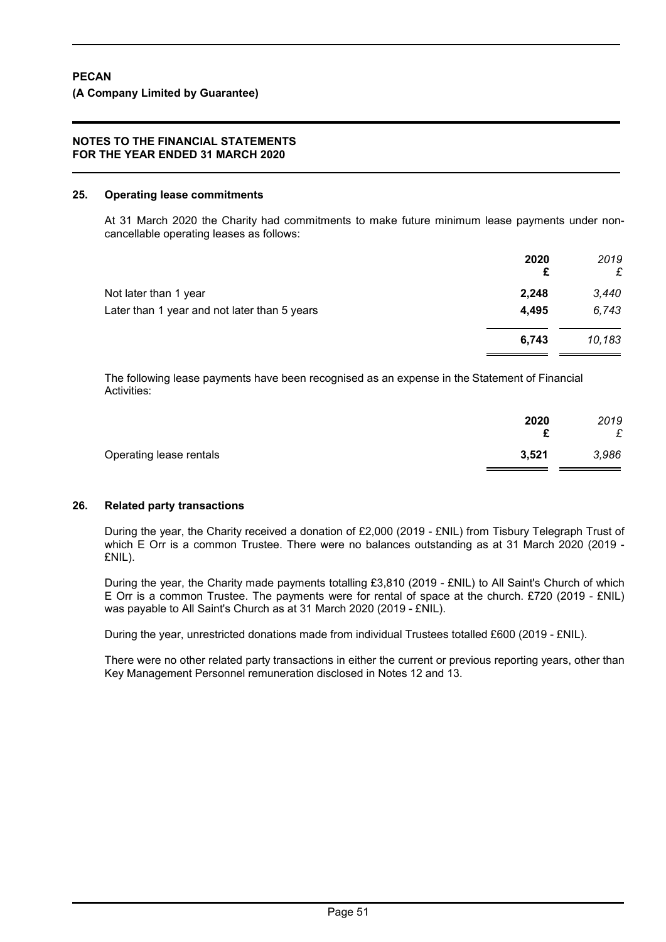#### **25. Operating lease commitments**

At 31 March 2020 the Charity had commitments to make future minimum lease payments under noncancellable operating leases as follows:

| 2020<br>£ | 2019<br>£ |
|-----------|-----------|
| 2,248     | 3,440     |
| 4,495     | 6,743     |
| 6,743     | 10,183    |
|           |           |

The following lease payments have been recognised as an expense in the Statement of Financial Activities:

|                         | 2020<br>c | 2019<br>£ |
|-------------------------|-----------|-----------|
| Operating lease rentals | 3,521     | 3,986     |

#### **26. Related party transactions**

During the year, the Charity received a donation of £2,000 (2019 - £NIL) from Tisbury Telegraph Trust of which E Orr is a common Trustee. There were no balances outstanding as at 31 March 2020 (2019 - £NIL).

During the year, the Charity made payments totalling £3,810 (2019 - £NIL) to All Saint's Church of which E Orr is a common Trustee. The payments were for rental of space at the church. £720 (2019 - £NIL) was payable to All Saint's Church as at 31 March 2020 (2019 - £NIL).

During the year, unrestricted donations made from individual Trustees totalled £600 (2019 - £NIL).

There were no other related party transactions in either the current or previous reporting years, other than Key Management Personnel remuneration disclosed in Notes 12 and 13.